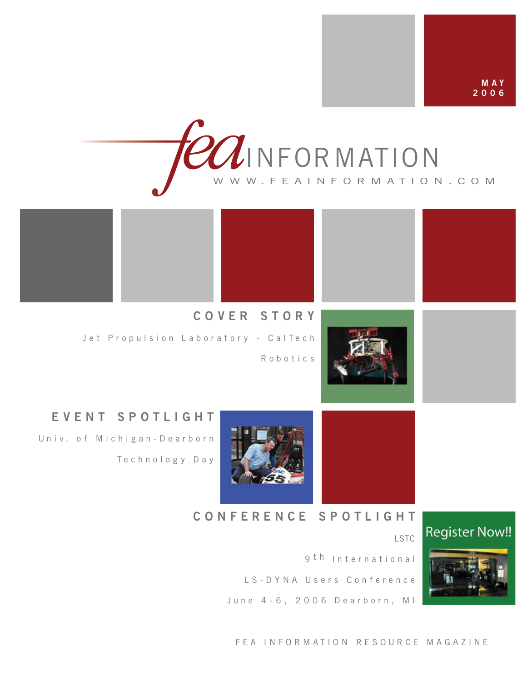

R o b o t i c s



### **E V E N T S P O T L I G H T**

Univ. of Michigan-Dearborn T e c h n o l o g y D a y

### **C O N F E R E N C E S P O T L I G H T**

LSTC



Register Now!!

**M A Y**

9<sup>th</sup> International L S - D Y N A U s er s C on f e r e n c e June 4 - 6, 2006 Dearborn, MI

#### FEA INFORMATION RESOURCE MAGAZINE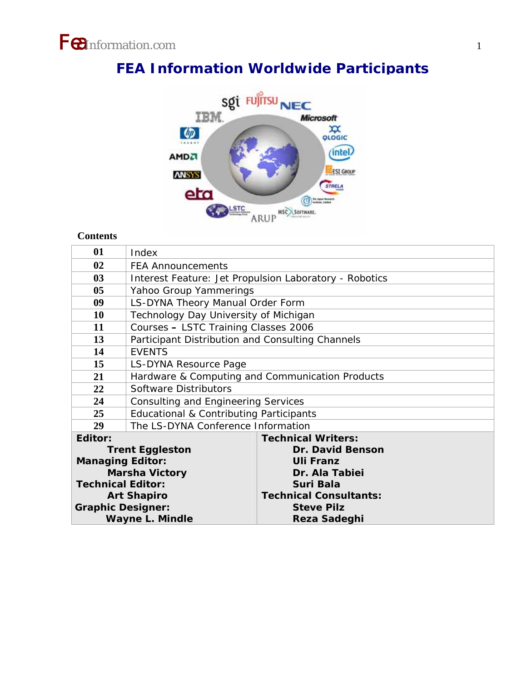## **FEA Information Worldwide Participants**



### **Contents**

| 01                                          | Index                                              |                                                        |  |
|---------------------------------------------|----------------------------------------------------|--------------------------------------------------------|--|
| 02                                          | <b>FEA Announcements</b>                           |                                                        |  |
| 0 <sub>3</sub>                              |                                                    | Interest Feature: Jet Propulsion Laboratory - Robotics |  |
| 0 <sub>5</sub>                              | Yahoo Group Yammerings                             |                                                        |  |
| 09                                          | LS-DYNA Theory Manual Order Form                   |                                                        |  |
| 10                                          | Technology Day University of Michigan              |                                                        |  |
| 11                                          | Courses - LSTC Training Classes 2006               |                                                        |  |
| 13                                          | Participant Distribution and Consulting Channels   |                                                        |  |
| 14                                          | <b>FVFNTS</b>                                      |                                                        |  |
| 15                                          | LS-DYNA Resource Page                              |                                                        |  |
| 21                                          | Hardware & Computing and Communication Products    |                                                        |  |
| 22                                          | Software Distributors                              |                                                        |  |
| 24                                          | <b>Consulting and Engineering Services</b>         |                                                        |  |
| 25                                          | <b>Educational &amp; Contributing Participants</b> |                                                        |  |
| 29                                          | The LS-DYNA Conference Information                 |                                                        |  |
| Editor:                                     | <b>Technical Writers:</b>                          |                                                        |  |
|                                             | <b>Trent Eggleston</b>                             | Dr. David Benson                                       |  |
| <b>Managing Editor:</b><br><b>Uli Franz</b> |                                                    |                                                        |  |
| <b>Marsha Victory</b>                       |                                                    | Dr. Ala Tabiei                                         |  |
| <b>Technical Editor:</b>                    |                                                    | Suri Bala                                              |  |
| <b>Art Shapiro</b>                          |                                                    | <b>Technical Consultants:</b>                          |  |
| <b>Graphic Designer:</b>                    |                                                    | <b>Steve Pilz</b>                                      |  |
| <b>Wayne L. Mindle</b><br>Reza Sadeghi      |                                                    |                                                        |  |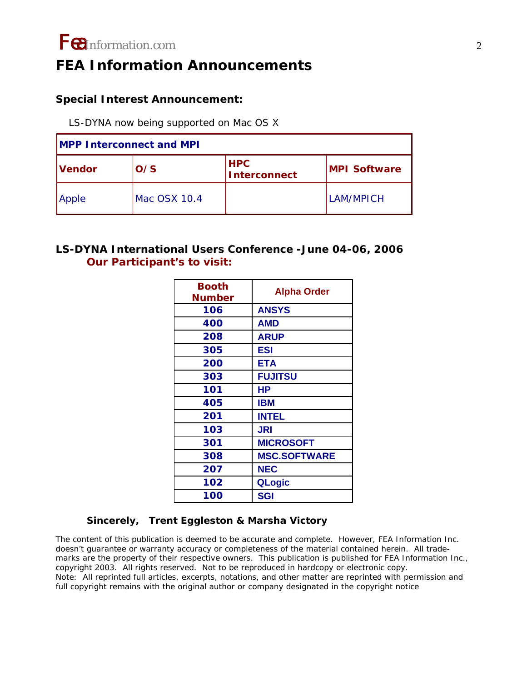

## **FEA Information Announcements**

### **Special Interest Announcement:**

LS-DYNA now being supported on Mac OS X

| <b>IMPP Interconnect and MPI</b> |              |                                   |                      |
|----------------------------------|--------------|-----------------------------------|----------------------|
| <b>Vendor</b>                    | O/S          | <b>HPC</b><br><b>Interconnect</b> | <b>IMPI Software</b> |
| Apple                            | Mac OSX 10.4 |                                   | LAM/MPICH            |

### **LS-DYNA International Users Conference -June 04-06, 2006 Our Participant's to visit:**

| Booth<br><b>Number</b> | <b>Alpha Order</b>  |  |
|------------------------|---------------------|--|
| 106                    | <b>ANSYS</b>        |  |
| 400                    | AMD                 |  |
| 208                    | <b>ARUP</b>         |  |
| 305                    | ESI                 |  |
| 200                    | <b>ETA</b>          |  |
| 303                    | <b>FUJITSU</b>      |  |
| 101                    | НP                  |  |
| 405                    | IBM                 |  |
| 201                    | <b>INTEL</b>        |  |
| 103                    | JRI                 |  |
| 301                    | <b>MICROSOFT</b>    |  |
| 308                    | <b>MSC.SOFTWARE</b> |  |
| 207                    | <b>NEC</b>          |  |
| 102                    | <b>QLogic</b>       |  |
| 100                    | <b>SGI</b>          |  |

### **Sincerely,** *Trent Eggleston & Marsha Victory*

The content of this publication is deemed to be accurate and complete. However, FEA Information Inc. doesn't guarantee or warranty accuracy or completeness of the material contained herein. All trademarks are the property of their respective owners. This publication is published for FEA Information Inc., copyright 2003. All rights reserved. Not to be reproduced in hardcopy or electronic copy. Note: All reprinted full articles, excerpts, notations, and other matter are reprinted with permission and full copyright remains with the original author or company designated in the copyright notice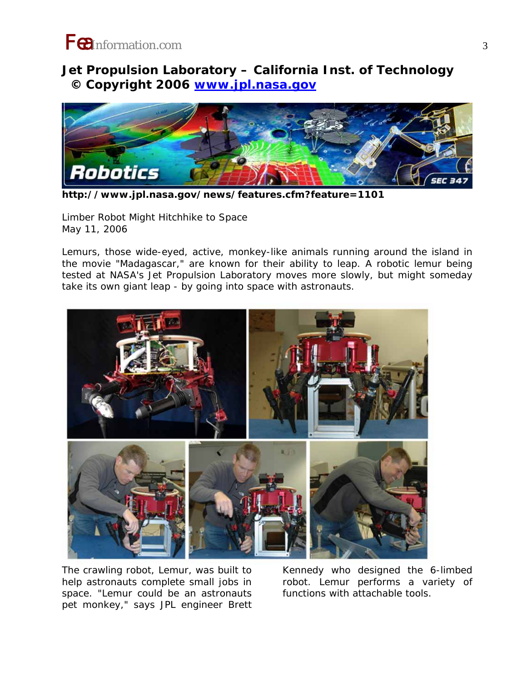

## **Jet Propulsion Laboratory – California Inst. of Technology © Copyright 2006 www.jpl.nasa.gov**



**http://www.jpl.nasa.gov/news/features.cfm?feature=1101** 

Limber Robot Might Hitchhike to Space May 11, 2006

Lemurs, those wide-eyed, active, monkey-like animals running around the island in the movie "Madagascar," are known for their ability to leap. A robotic lemur being tested at NASA's Jet Propulsion Laboratory moves more slowly, but might someday take its own giant leap - by going into space with astronauts.



The crawling robot, Lemur, was built to help astronauts complete small jobs in space. "Lemur could be an astronauts pet monkey," says JPL engineer Brett

Kennedy who designed the 6-limbed robot. Lemur performs a variety of functions with attachable tools.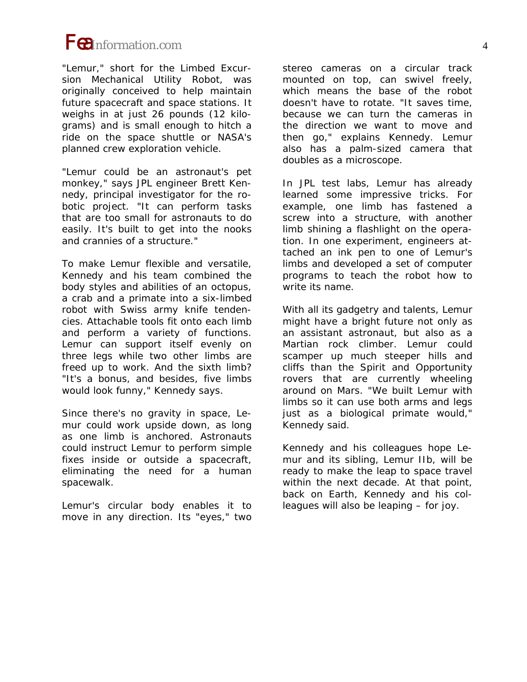

"Lemur," short for the Limbed Excursion Mechanical Utility Robot, was originally conceived to help maintain future spacecraft and space stations. It weighs in at just 26 pounds (12 kilograms) and is small enough to hitch a ride on the space shuttle or NASA's planned crew exploration vehicle.

"Lemur could be an astronaut's pet monkey," says JPL engineer Brett Kennedy, principal investigator for the robotic project. "It can perform tasks that are too small for astronauts to do easily. It's built to get into the nooks and crannies of a structure."

To make Lemur flexible and versatile, Kennedy and his team combined the body styles and abilities of an octopus, a crab and a primate into a six-limbed robot with Swiss army knife tendencies. Attachable tools fit onto each limb and perform a variety of functions. Lemur can support itself evenly on three legs while two other limbs are freed up to work. And the sixth limb? "It's a bonus, and besides, five limbs would look funny," Kennedy says.

Since there's no gravity in space, Lemur could work upside down, as long as one limb is anchored. Astronauts could instruct Lemur to perform simple fixes inside or outside a spacecraft, eliminating the need for a human spacewalk.

Lemur's circular body enables it to move in any direction. Its "eyes," two

stereo cameras on a circular track mounted on top, can swivel freely, which means the base of the robot doesn't have to rotate. "It saves time, because we can turn the cameras in the direction we want to move and then go," explains Kennedy. Lemur also has a palm-sized camera that doubles as a microscope.

In JPL test labs, Lemur has already learned some impressive tricks. For example, one limb has fastened a screw into a structure, with another limb shining a flashlight on the operation. In one experiment, engineers attached an ink pen to one of Lemur's limbs and developed a set of computer programs to teach the robot how to write its name.

With all its gadgetry and talents, Lemur might have a bright future not only as an assistant astronaut, but also as a Martian rock climber. Lemur could scamper up much steeper hills and cliffs than the Spirit and Opportunity rovers that are currently wheeling around on Mars. "We built Lemur with limbs so it can use both arms and legs just as a biological primate would," Kennedy said.

Kennedy and his colleagues hope Lemur and its sibling, Lemur IIb, will be ready to make the leap to space travel within the next decade. At that point, back on Earth, Kennedy and his colleagues will also be leaping – for joy.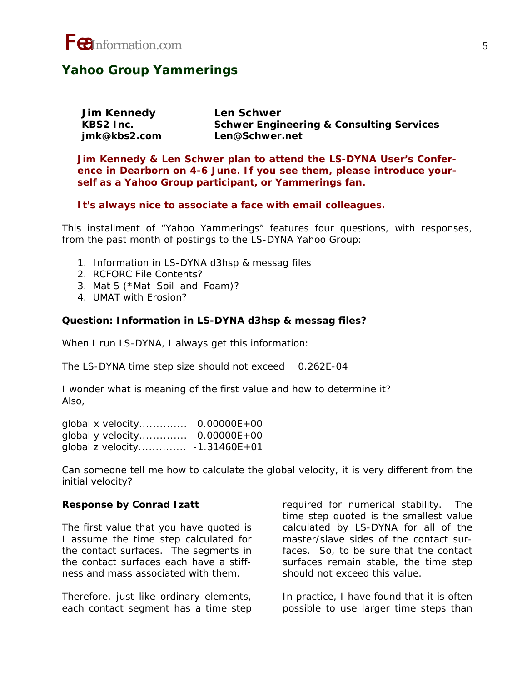

### **Yahoo Group Yammerings**

| <b>Jim Kennedy</b> | <b>Len Schwer</b>                                   |
|--------------------|-----------------------------------------------------|
| KBS2 Inc.          | <b>Schwer Engineering &amp; Consulting Services</b> |
| jmk@kbs2.com       | Len@Schwer.net                                      |

**Jim Kennedy & Len Schwer plan to attend the LS-DYNA User's Conference in Dearborn on 4-6 June. If you see them, please introduce yourself as a Yahoo Group participant, or Yammerings fan.** 

### **It's always nice to associate a face with email colleagues.**

This installment of "Yahoo Yammerings" features four questions, with responses, from the past month of postings to the LS-DYNA Yahoo Group:

- *1. Information in LS-DYNA d3hsp & messag files*
- *2. RCFORC File Contents?*
- *3. Mat 5 (\*Mat\_Soil\_and\_Foam)?*
- *4. UMAT with Erosion?*

#### **Question: Information in LS-DYNA d3hsp & messag files?**

When I run LS-DYNA, I always get this information:

The LS-DYNA time step size should not exceed 0.262E-04

I wonder what is meaning of the first value and how to determine it? Also,

| global x velocity | $0.00000E + 00$ |
|-------------------|-----------------|
| global y velocity | $0.00000E + 00$ |
|                   |                 |

Can someone tell me how to calculate the global velocity, it is very different from the initial velocity?

#### **Response by Conrad Izatt**

The first value that you have quoted is I assume the time step calculated for the contact surfaces. The segments in the contact surfaces each have a stiffness and mass associated with them.

Therefore, just like ordinary elements, each contact segment has a time step required for numerical stability. The time step quoted is the smallest value calculated by LS-DYNA for all of the master/slave sides of the contact surfaces. So, to be sure that the contact surfaces remain stable, the time step should not exceed this value.

In practice, I have found that it is often possible to use larger time steps than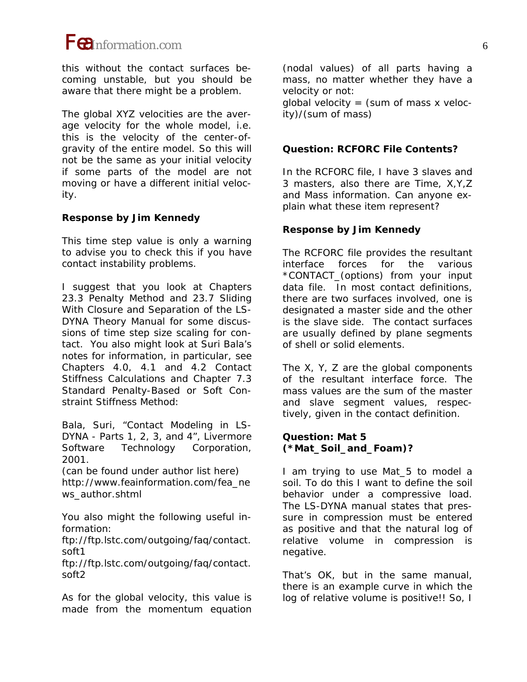

this without the contact surfaces becoming unstable, but you should be aware that there might be a problem.

The global XYZ velocities are the average velocity for the whole model, i.e. this is the velocity of the center-ofgravity of the entire model. So this will not be the same as your initial velocity if some parts of the model are not moving or have a different initial velocity.

### **Response by Jim Kennedy**

This time step value is only a warning to advise you to check this if you have contact instability problems.

I suggest that you look at Chapters 23.3 Penalty Method and 23.7 Sliding With Closure and Separation of the LS-DYNA Theory Manual for some discussions of time step size scaling for contact. You also might look at Suri Bala's notes for information, in particular, see Chapters 4.0, 4.1 and 4.2 Contact Stiffness Calculations and Chapter 7.3 Standard Penalty-Based or Soft Constraint Stiffness Method:

Bala, Suri, "Contact Modeling in LS-DYNA - Parts 1, 2, 3, and 4", Livermore Software Technology Corporation, 2001.

(can be found under author list here) http://www.feainformation.com/fea\_ne ws\_author.shtml

You also might the following useful information:

ftp://ftp.lstc.com/outgoing/faq/contact. soft1

ftp://ftp.lstc.com/outgoing/faq/contact. soft2

As for the global velocity, this value is made from the momentum equation

(nodal values) of all parts having a mass, no matter whether they have a velocity or not: global velocity = (sum of mass x veloc-

ity)/(sum of mass)

### **Question: RCFORC File Contents?**

In the RCFORC file, I have 3 slaves and 3 masters, also there are Time, X,Y,Z and Mass information. Can anyone explain what these item represent?

### **Response by Jim Kennedy**

The RCFORC file provides the resultant interface forces for the various \*CONTACT\_(options) from your input data file. In most contact definitions, there are two surfaces involved, one is designated a master side and the other is the slave side. The contact surfaces are usually defined by plane segments of shell or solid elements.

The X, Y, Z are the global components of the resultant interface force. The mass values are the sum of the master and slave segment values, respectively, given in the contact definition.

### **Question: Mat 5 (\*Mat\_Soil\_and\_Foam)?**

I am trying to use Mat\_5 to model a soil. To do this I want to define the soil behavior under a compressive load. The LS-DYNA manual states that pressure in compression must be entered as positive and that the natural log of relative volume in compression is negative.

That's OK, but in the same manual, there is an example curve in which the log of relative volume is positive!! So, I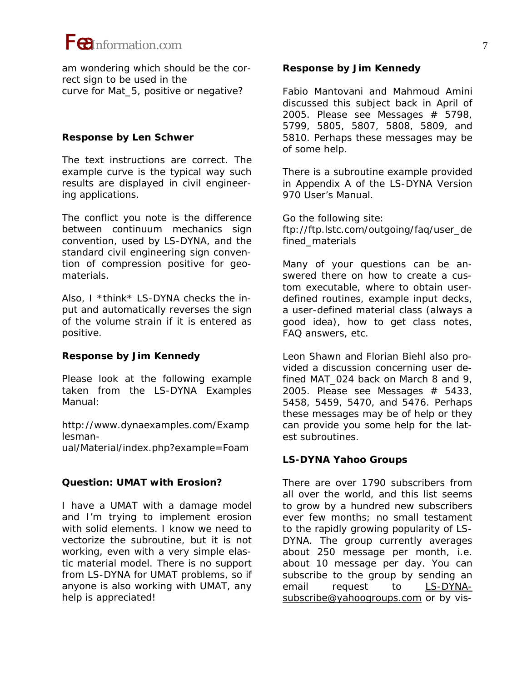

am wondering which should be the correct sign to be used in the curve for Mat\_5, positive or negative?

### **Response by Len Schwer**

The text instructions are correct. The example curve is the typical way such results are displayed in civil engineering applications.

The conflict you note is the difference between continuum mechanics sign convention, used by LS-DYNA, and the standard civil engineering sign convention of compression positive for geomaterials.

Also, I \*think\* LS-DYNA checks the input and automatically reverses the sign of the volume strain if it is entered as positive.

### **Response by Jim Kennedy**

Please look at the following example taken from the LS-DYNA Examples Manual:

http://www.dynaexamples.com/Examp lesman-

ual/Material/index.php?example=Foam

### **Question: UMAT with Erosion?**

I have a UMAT with a damage model and I'm trying to implement erosion with solid elements. I know we need to vectorize the subroutine, but it is not working, even with a very simple elastic material model. There is no support from LS-DYNA for UMAT problems, so if anyone is also working with UMAT, any help is appreciated!

### **Response by Jim Kennedy**

Fabio Mantovani and Mahmoud Amini discussed this subject back in April of 2005. Please see Messages # 5798, 5799, 5805, 5807, 5808, 5809, and 5810. Perhaps these messages may be of some help.

There is a subroutine example provided in Appendix A of the LS-DYNA Version 970 User's Manual.

Go the following site: ftp://ftp.lstc.com/outgoing/faq/user\_de fined\_materials

Many of your questions can be answered there on how to create a custom executable, where to obtain userdefined routines, example input decks, a user-defined material class (always a good idea), how to get class notes, FAQ answers, etc.

Leon Shawn and Florian Biehl also provided a discussion concerning user defined MAT\_024 back on March 8 and 9, 2005. Please see Messages  $# 5433$ , 5458, 5459, 5470, and 5476. Perhaps these messages may be of help or they can provide you some help for the latest subroutines.

### **LS-DYNA Yahoo Groups**

There are over 1790 subscribers from all over the world, and this list seems to grow by a hundred new subscribers ever few months; no small testament to the rapidly growing popularity of LS-DYNA. The group currently averages about 250 message per month, i.e. about 10 message per day. You can subscribe to the group by sending an email request to LS-DYNAsubscribe@yahoogroups.com or by vis-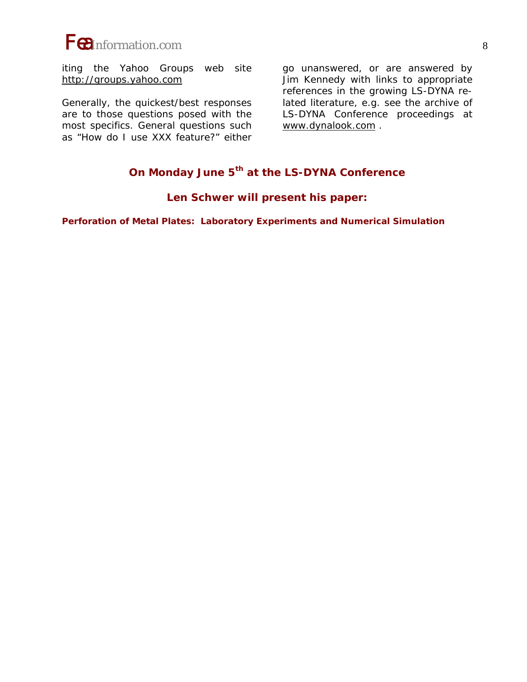

iting the Yahoo Groups web site http://groups.yahoo.com

Generally, the quickest/best responses are to those questions posed with the most specifics. General questions such as "How do I use XXX feature?" either go unanswered, or are answered by Jim Kennedy with links to appropriate references in the growing LS-DYNA related literature, e.g. see the archive of LS-DYNA Conference proceedings at www.dynalook.com .

## **On Monday June 5th at the LS-DYNA Conference**

### **Len Schwer will present his paper:**

*Perforation of Metal Plates: Laboratory Experiments and Numerical Simulation*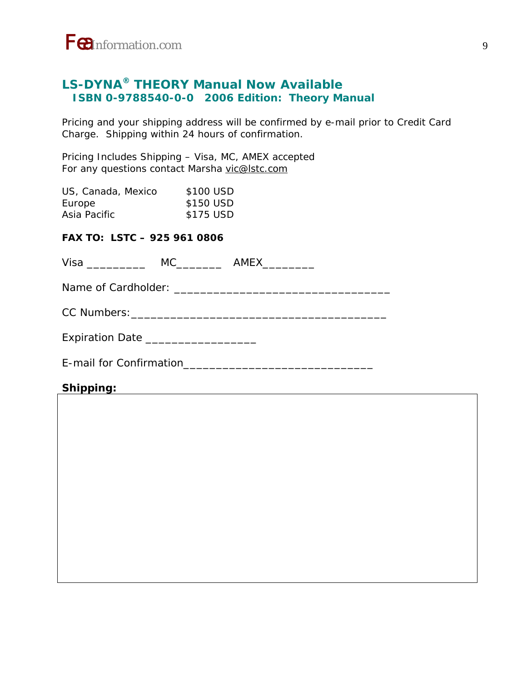### **LS-DYNA® THEORY Manual Now Available ISBN 0-9788540-0-0 2006 Edition: Theory Manual**

Pricing and your shipping address will be confirmed by e-mail prior to Credit Card Charge. Shipping within 24 hours of confirmation.

Pricing Includes Shipping – Visa, MC, AMEX accepted For any questions contact Marsha vic@lstc.com

| US, Canada, Mexico | \$100 USD |
|--------------------|-----------|
| Europe             | \$150 USD |
| Asia Pacific       | \$175 USD |

### **FAX TO: LSTC – 925 961 0806**

Visa \_\_\_\_\_\_\_\_\_\_\_ MC\_\_\_\_\_\_\_\_ AMEX\_\_\_\_\_\_\_\_

Name of Cardholder: **We are also asset to the case of Cardholder:**  $\blacksquare$ 

CC Numbers:\_\_\_\_\_\_\_\_\_\_\_\_\_\_\_\_\_\_\_\_\_\_\_\_\_\_\_\_\_\_\_\_\_\_\_\_\_\_\_

Expiration Date \_\_\_\_\_\_\_\_\_\_\_\_\_\_\_\_\_

E-mail for Confirmation\_\_\_\_\_\_\_\_\_\_\_\_\_\_\_\_\_\_\_\_\_\_\_\_\_\_\_\_\_

### **Shipping:**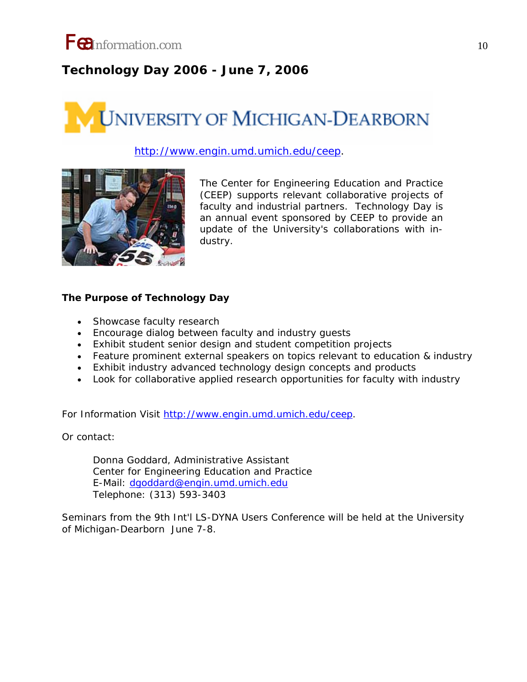

### **Technology Day 2006 - June 7, 2006**

# **JNIVERSITY OF MICHIGAN-DEARBORN**

### http://www.engin.umd.umich.edu/ceep.



The Center for Engineering Education and Practice (CEEP) supports relevant collaborative projects of faculty and industrial partners. Technology Day is an annual event sponsored by CEEP to provide an update of the University's collaborations with industry.

### **The Purpose of Technology Day**

- Showcase faculty research
- Encourage dialog between faculty and industry guests
- Exhibit student senior design and student competition projects
- Feature prominent external speakers on topics relevant to education & industry
- Exhibit industry advanced technology design concepts and products
- Look for collaborative applied research opportunities for faculty with industry

For Information Visit http://www.engin.umd.umich.edu/ceep.

Or contact:

Donna Goddard, Administrative Assistant Center for Engineering Education and Practice E-Mail: dgoddard@engin.umd.umich.edu Telephone: (313) 593-3403

Seminars from the 9th Int'l LS-DYNA Users Conference will be held at the University of Michigan-Dearborn June 7-8.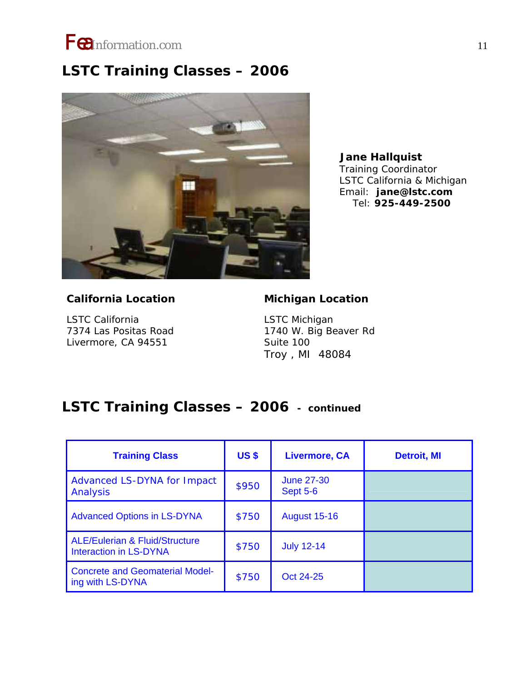

## **LSTC Training Classes – 2006**



 **Jane Hallquist**  Training Coordinator LSTC California & Michigan  *Email: jane@lstc.com Tel: 925-449-2500*

### **California Location**

LSTC California 7374 Las Positas Road Livermore, CA 94551

### **Michigan Location**

LSTC Michigan 1740 W. Big Beaver Rd Suite 100 Troy , MI 48084

## **LSTC Training Classes – 2006 - continued**

| <b>Training Class</b>                                                      | <b>US\$</b> | <b>Livermore, CA</b>          | <b>Detroit, MI</b> |
|----------------------------------------------------------------------------|-------------|-------------------------------|--------------------|
| Advanced LS-DYNA for Impact<br>Analysis                                    | \$950       | June 27-30<br><b>Sept 5-6</b> |                    |
| <b>Advanced Options in LS-DYNA</b>                                         | \$750       | <b>August 15-16</b>           |                    |
| <b>ALE/Eulerian &amp; Fluid/Structure</b><br><b>Interaction in LS-DYNA</b> | \$750       | <b>July 12-14</b>             |                    |
| <b>Concrete and Geomaterial Model-</b><br>ing with LS-DYNA                 | \$750       | Oct 24-25                     |                    |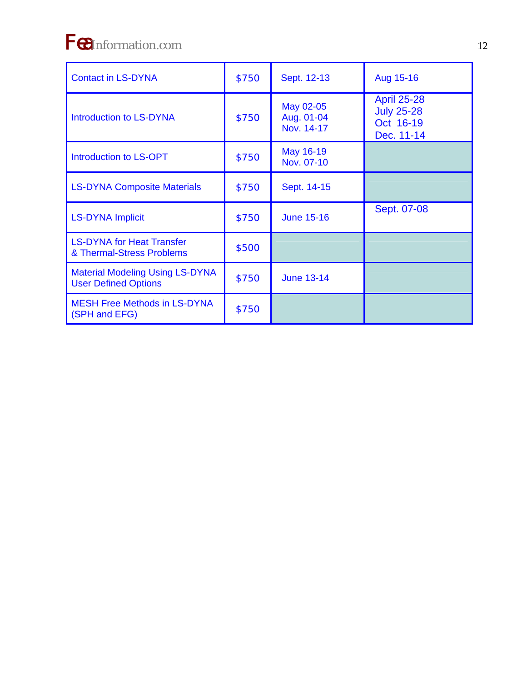# *Fea*Information.com <sup>12</sup>

| <b>Contact in LS-DYNA</b>                                             | \$750 | Sept. 12-13                           | Aug 15-16                                                          |
|-----------------------------------------------------------------------|-------|---------------------------------------|--------------------------------------------------------------------|
| <b>Introduction to LS-DYNA</b>                                        | \$750 | May 02-05<br>Aug. 01-04<br>Nov. 14-17 | <b>April 25-28</b><br><b>July 25-28</b><br>Oct 16-19<br>Dec. 11-14 |
| <b>Introduction to LS-OPT</b>                                         | \$750 | May 16-19<br>Nov. 07-10               |                                                                    |
| <b>LS-DYNA Composite Materials</b>                                    | \$750 | Sept. 14-15                           |                                                                    |
| <b>LS-DYNA Implicit</b>                                               | \$750 | <b>June 15-16</b>                     | Sept. 07-08                                                        |
| <b>LS-DYNA for Heat Transfer</b><br>& Thermal-Stress Problems         | \$500 |                                       |                                                                    |
| <b>Material Modeling Using LS-DYNA</b><br><b>User Defined Options</b> | \$750 | <b>June 13-14</b>                     |                                                                    |
| <b>MESH Free Methods in LS-DYNA</b><br>(SPH and EFG)                  | \$750 |                                       |                                                                    |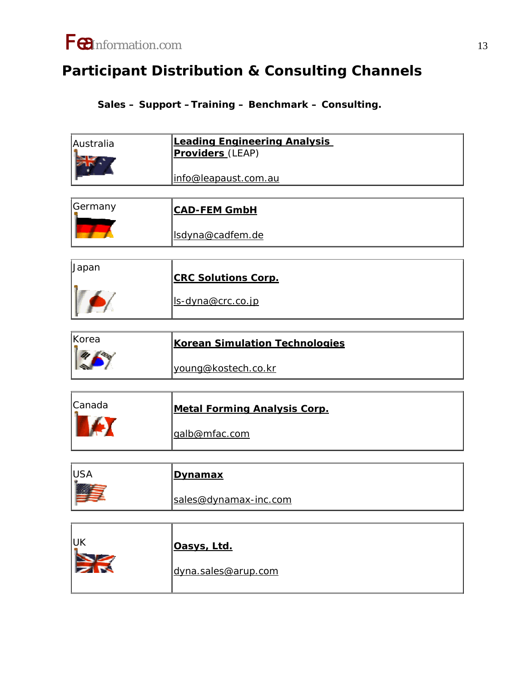

## **Participant Distribution & Consulting Channels**

### **Sales – Support –Training – Benchmark – Consulting.**

| Australia  | <b>Leading Engineering Analysis</b>   |
|------------|---------------------------------------|
|            | Providers (LEAP)                      |
|            | info@leapaust.com.au                  |
|            |                                       |
| Germany    | <b>CAD-FEM GmbH</b>                   |
|            | Isdyna@cadfem.de                      |
|            |                                       |
| Japan      | <b>CRC Solutions Corp.</b>            |
|            | ls-dyna@crc.co.jp                     |
|            |                                       |
| Korea      | <b>Korean Simulation Technologies</b> |
|            | young@kostech.co.kr                   |
|            |                                       |
| Canada     | <b>Metal Forming Analysis Corp.</b>   |
|            | galb@mfac.com                         |
|            |                                       |
| <b>USA</b> | <b>Dynamax</b>                        |
|            | sales@dynamax-inc.com                 |
|            |                                       |
| <b>UK</b>  | Oasys, Ltd.                           |
|            |                                       |
|            | dyna.sales@arup.com                   |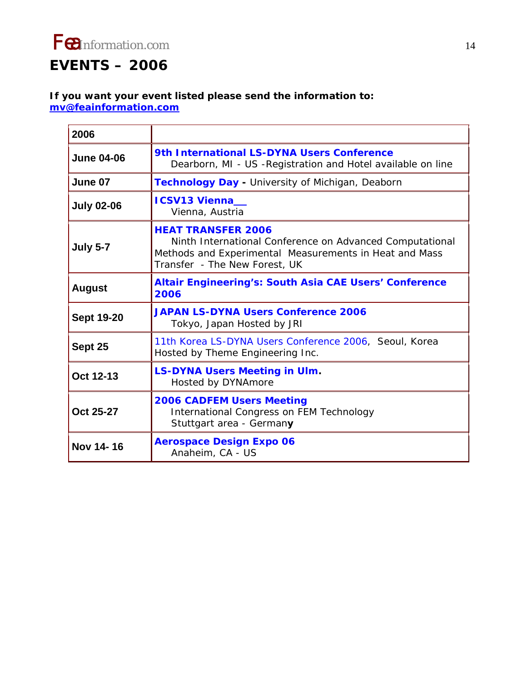

## **EVENTS – 2006**

**If you want your event listed please send the information to: mv@feainformation.com**

| 2006              |                                                                                                                                                                                  |
|-------------------|----------------------------------------------------------------------------------------------------------------------------------------------------------------------------------|
| <b>June 04-06</b> | 9th International LS-DYNA Users Conference<br>Dearborn, MI - US - Registration and Hotel available on line                                                                       |
| June 07           | <b>Technology Day - University of Michigan, Deaborn</b>                                                                                                                          |
| <b>July 02-06</b> | <b>ICSV13 Vienna</b><br>Vienna, Austria                                                                                                                                          |
| <b>July 5-7</b>   | <b>HEAT TRANSFER 2006</b><br>Ninth International Conference on Advanced Computational<br>Methods and Experimental Measurements in Heat and Mass<br>Transfer - The New Forest, UK |
| <b>August</b>     | <b>Altair Engineering's: South Asia CAE Users' Conference</b><br>2006                                                                                                            |
| <b>Sept 19-20</b> | <b>JAPAN LS-DYNA Users Conference 2006</b><br>Tokyo, Japan Hosted by JRI                                                                                                         |
| Sept 25           | 11th Korea LS-DYNA Users Conference 2006, Seoul, Korea<br>Hosted by Theme Engineering Inc.                                                                                       |
| Oct 12-13         | <b>LS-DYNA Users Meeting in Ulm.</b><br>Hosted by DYNAmore                                                                                                                       |
| Oct 25-27         | <b>2006 CADFEM Users Meeting</b><br>International Congress on FEM Technology<br>Stuttgart area - Germany                                                                         |
| Nov 14-16         | <b>Aerospace Design Expo 06</b><br>Anaheim, CA - US                                                                                                                              |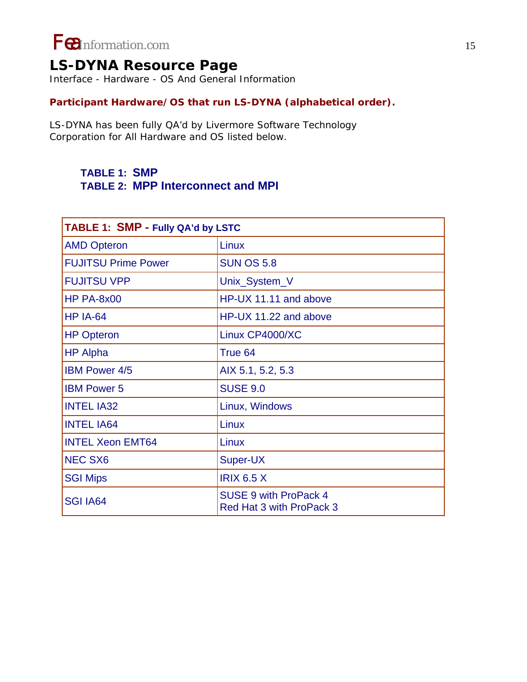

## **LS-DYNA Resource Page**

Interface - Hardware - OS And General Information

### **Participant Hardware/OS that run LS-DYNA (alphabetical order).**

LS-DYNA has been fully QA'd by Livermore Software Technology Corporation for All Hardware and OS listed below.

### **TABLE 1: SMP TABLE 2: MPP Interconnect and MPI**

| TABLE 1: SMP - Fully QA'd by LSTC |                                                          |  |
|-----------------------------------|----------------------------------------------------------|--|
| <b>AMD Opteron</b>                | <b>Linux</b>                                             |  |
| <b>FUJITSU Prime Power</b>        | <b>SUN OS 5.8</b>                                        |  |
| <b>FUJITSU VPP</b>                | Unix_System_V                                            |  |
| <b>HP PA-8x00</b>                 | HP-UX 11.11 and above                                    |  |
| <b>HP IA-64</b>                   | HP-UX 11.22 and above                                    |  |
| <b>HP Opteron</b>                 | Linux CP4000/XC                                          |  |
| <b>HP Alpha</b>                   | True 64                                                  |  |
| <b>IBM Power 4/5</b>              | AIX 5.1, 5.2, 5.3                                        |  |
| <b>IBM Power 5</b>                | <b>SUSE 9.0</b>                                          |  |
| <b>INTEL IA32</b>                 | Linux, Windows                                           |  |
| <b>INTEL IA64</b>                 | Linux                                                    |  |
| <b>INTEL Xeon EMT64</b>           | Linux                                                    |  |
| <b>NEC SX6</b>                    | Super-UX                                                 |  |
| <b>SGI Mips</b>                   | <b>IRIX 6.5 X</b>                                        |  |
| <b>SGI IA64</b>                   | <b>SUSE 9 with ProPack 4</b><br>Red Hat 3 with ProPack 3 |  |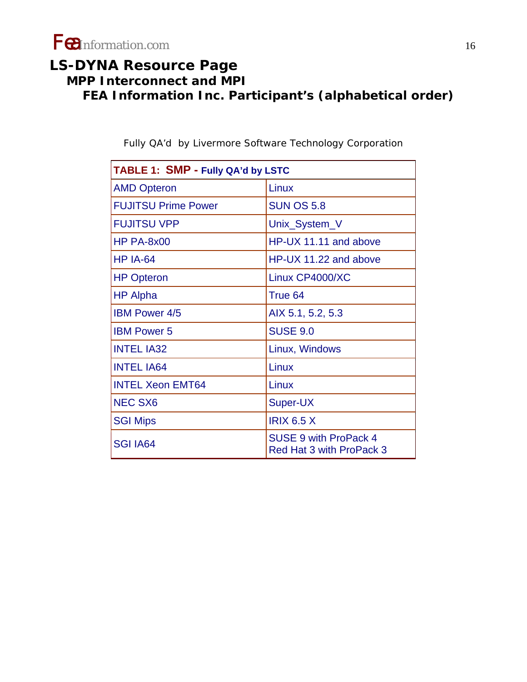## **LS-DYNA Resource Page MPP Interconnect and MPI FEA Information Inc. Participant's (alphabetical order)**

| TABLE 1: SMP - Fully QA'd by LSTC |                                                                 |  |
|-----------------------------------|-----------------------------------------------------------------|--|
| <b>AMD Opteron</b>                | Linux                                                           |  |
| <b>FUJITSU Prime Power</b>        | <b>SUN OS 5.8</b>                                               |  |
| <b>FUJITSU VPP</b>                | Unix_System_V                                                   |  |
| <b>HP PA-8x00</b>                 | HP-UX 11.11 and above                                           |  |
| <b>HP IA-64</b>                   | HP-UX 11.22 and above                                           |  |
| <b>HP Opteron</b>                 | Linux CP4000/XC                                                 |  |
| <b>HP Alpha</b>                   | True 64                                                         |  |
| <b>IBM Power 4/5</b>              | AIX 5.1, 5.2, 5.3                                               |  |
| <b>IBM Power 5</b>                | <b>SUSE 9.0</b>                                                 |  |
| <b>INTEL IA32</b>                 | Linux, Windows                                                  |  |
| <b>INTEL IA64</b>                 | Linux                                                           |  |
| <b>INTEL Xeon EMT64</b>           | Linux                                                           |  |
| <b>NEC SX6</b>                    | Super-UX                                                        |  |
| <b>SGI Mips</b>                   | <b>IRIX 6.5 X</b>                                               |  |
| <b>SGI IA64</b>                   | <b>SUSE 9 with ProPack 4</b><br><b>Red Hat 3 with ProPack 3</b> |  |

Fully QA'd by Livermore Software Technology Corporation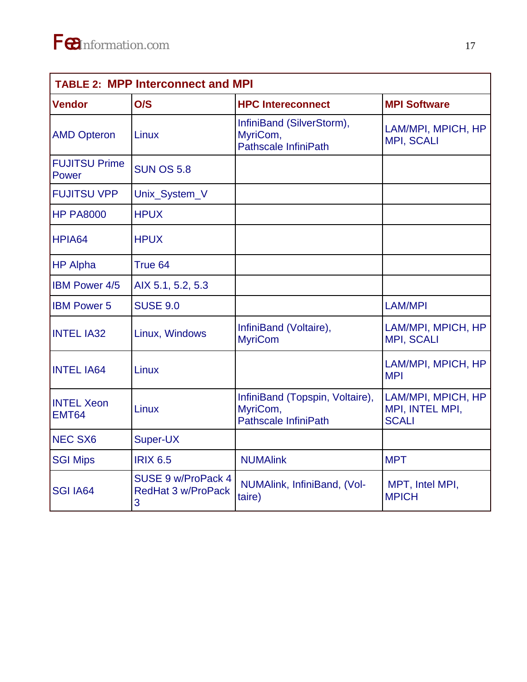| <b>TABLE 2: MPP Interconnect and MPI</b> |                                               |                                                                            |                                                       |
|------------------------------------------|-----------------------------------------------|----------------------------------------------------------------------------|-------------------------------------------------------|
| <b>Vendor</b>                            | O/S                                           | <b>HPC Intereconnect</b>                                                   | <b>MPI Software</b>                                   |
| <b>AMD Opteron</b>                       | Linux                                         | InfiniBand (SilverStorm),<br>MyriCom,<br><b>Pathscale InfiniPath</b>       | LAM/MPI, MPICH, HP<br><b>MPI, SCALI</b>               |
| <b>FUJITSU Prime</b><br>Power            | <b>SUN OS 5.8</b>                             |                                                                            |                                                       |
| <b>FUJITSU VPP</b>                       | Unix_System_V                                 |                                                                            |                                                       |
| <b>HP PA8000</b>                         | <b>HPUX</b>                                   |                                                                            |                                                       |
| HPIA64                                   | <b>HPUX</b>                                   |                                                                            |                                                       |
| <b>HP Alpha</b>                          | True 64                                       |                                                                            |                                                       |
| <b>IBM Power 4/5</b>                     | AIX 5.1, 5.2, 5.3                             |                                                                            |                                                       |
| <b>IBM Power 5</b>                       | <b>SUSE 9.0</b>                               |                                                                            | <b>LAM/MPI</b>                                        |
| <b>INTEL IA32</b>                        | Linux, Windows                                | InfiniBand (Voltaire),<br><b>MyriCom</b>                                   | LAM/MPI, MPICH, HP<br><b>MPI, SCALI</b>               |
| <b>INTEL IA64</b>                        | Linux                                         |                                                                            | LAM/MPI, MPICH, HP<br><b>MPI</b>                      |
| <b>INTEL Xeon</b><br><b>EMT64</b>        | Linux                                         | InfiniBand (Topspin, Voltaire),<br>MyriCom,<br><b>Pathscale InfiniPath</b> | LAM/MPI, MPICH, HP<br>MPI, INTEL MPI,<br><b>SCALI</b> |
| <b>NEC SX6</b>                           | Super-UX                                      |                                                                            |                                                       |
| <b>SGI Mips</b>                          | <b>IRIX 6.5</b>                               | <b>NUMAlink</b>                                                            | <b>MPT</b>                                            |
| SGI IA64                                 | SUSE 9 w/ProPack 4<br>RedHat 3 w/ProPack<br>3 | NUMAlink, InfiniBand, (Vol-<br>taire)                                      | MPT, Intel MPI,<br><b>MPICH</b>                       |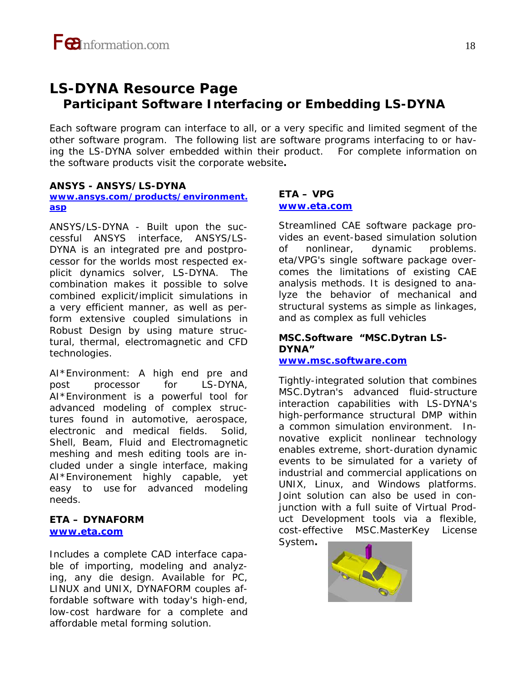

## **LS-DYNA Resource Page Participant Software Interfacing or Embedding LS-DYNA**

Each software program can interface to all, or a very specific and limited segment of the other software program. The following list are software programs interfacing to or having the LS-DYNA solver embedded within their product. For complete information on the software products visit the corporate website**.** 

### **ANSYS - ANSYS/LS-DYNA**

### **www.ansys.com/products/environment. asp**

ANSYS/LS-DYNA - Built upon the successful ANSYS interface, ANSYS/LS-DYNA is an integrated pre and postprocessor for the worlds most respected explicit dynamics solver, LS-DYNA. The combination makes it possible to solve combined explicit/implicit simulations in a very efficient manner, as well as perform extensive coupled simulations in Robust Design by using mature structural, thermal, electromagnetic and CFD technologies.

AI\*Environment: A high end pre and post processor for LS-DYNA, AI\*Environment is a powerful tool for advanced modeling of complex structures found in automotive, aerospace, electronic and medical fields. Solid, Shell, Beam, Fluid and Electromagnetic meshing and mesh editing tools are included under a single interface, making AI\*Environement highly capable, yet easy to use for advanced modeling needs.

#### **ETA – DYNAFORM www.eta.com**

Includes a complete CAD interface capable of importing, modeling and analyzing, any die design. Available for PC, LINUX and UNIX, DYNAFORM couples affordable software with today's high-end, low-cost hardware for a complete and affordable metal forming solution.

### **ETA – VPG www.eta.com**

Streamlined CAE software package provides an event-based simulation solution of nonlinear, dynamic problems. eta/VPG's single software package overcomes the limitations of existing CAE analysis methods. It is designed to analyze the behavior of mechanical and structural systems as simple as linkages, and as complex as full vehicles

### **MSC.Software "MSC.Dytran LS-DYNA"**

### **www.msc.software.com**

Tightly-integrated solution that combines MSC.Dytran's advanced fluid-structure interaction capabilities with LS-DYNA's high-performance structural DMP within a common simulation environment. Innovative explicit nonlinear technology enables extreme, short-duration dynamic events to be simulated for a variety of industrial and commercial applications on UNIX, Linux, and Windows platforms. Joint solution can also be used in conjunction with a full suite of Virtual Product Development tools via a flexible, cost-effective MSC.MasterKey License System**.** 

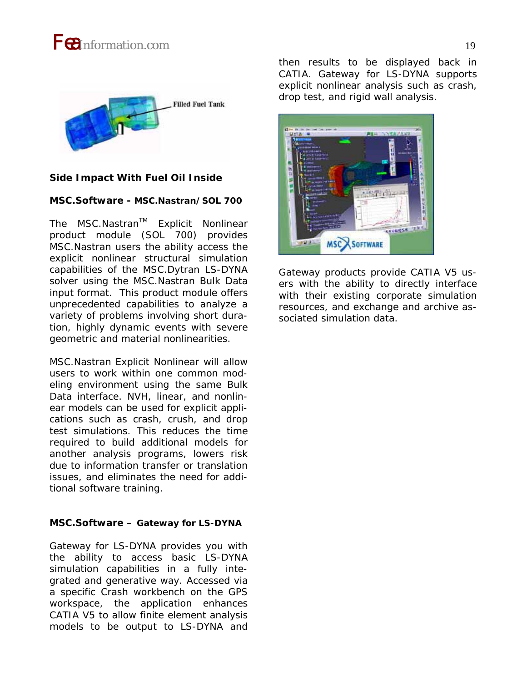## *Fea*Information.com <sup>19</sup>



**Side Impact With Fuel Oil Inside** 

### **MSC.Software - MSC.Nastran/SOL 700**

The MSC.Nastran<sup>™</sup> Explicit Nonlinear product module (SOL 700) provides MSC.Nastran users the ability access the explicit nonlinear structural simulation capabilities of the MSC.Dytran LS-DYNA solver using the MSC.Nastran Bulk Data input format. This product module offers unprecedented capabilities to analyze a variety of problems involving short duration, highly dynamic events with severe geometric and material nonlinearities.

MSC.Nastran Explicit Nonlinear will allow users to work within one common modeling environment using the same Bulk Data interface. NVH, linear, and nonlinear models can be used for explicit applications such as crash, crush, and drop test simulations. This reduces the time required to build additional models for another analysis programs, lowers risk due to information transfer or translation issues, and eliminates the need for additional software training.

### **MSC.Software – Gateway for LS-DYNA**

Gateway for LS-DYNA provides you with the ability to access basic LS-DYNA simulation capabilities in a fully integrated and generative way. Accessed via a specific Crash workbench on the GPS workspace, the application enhances CATIA V5 to allow finite element analysis models to be output to LS-DYNA and then results to be displayed back in CATIA. Gateway for LS-DYNA supports explicit nonlinear analysis such as crash, drop test, and rigid wall analysis.



Gateway products provide CATIA V5 users with the ability to directly interface with their existing corporate simulation resources, and exchange and archive associated simulation data.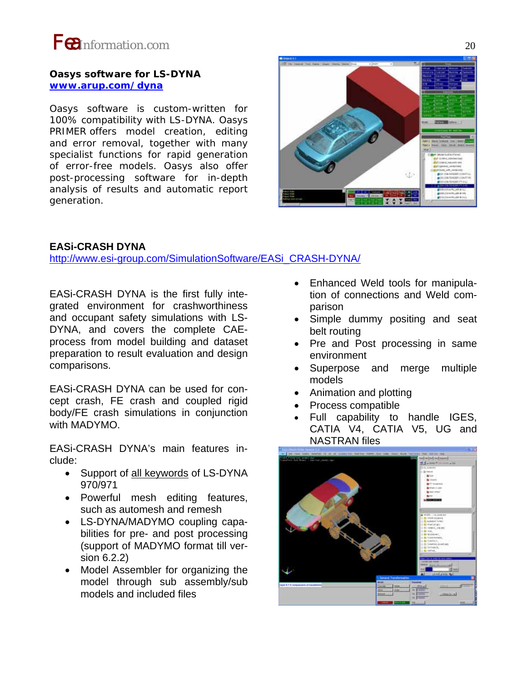

### **Oasys software for LS-DYNA www.arup.com/dyna**

Oasys software is custom-written for 100% compatibility with LS-DYNA. Oasys PRIMER offers model creation, editing and error removal, together with many specialist functions for rapid generation of error-free models. Oasys also offer post-processing software for in-depth analysis of results and automatic report generation.



### **EASi-CRASH DYNA**

http://www.esi-group.com/SimulationSoftware/EASi\_CRASH-DYNA/

EASi-CRASH DYNA is the first fully integrated environment for crashworthiness and occupant safety simulations with LS-DYNA, and covers the complete CAEprocess from model building and dataset preparation to result evaluation and design comparisons.

EASi-CRASH DYNA can be used for concept crash, FE crash and coupled rigid body/FE crash simulations in conjunction with MADYMO.

EASi-CRASH DYNA's main features include:

- Support of all keywords of LS-DYNA 970/971
- Powerful mesh editing features, such as automesh and remesh
- LS-DYNA/MADYMO coupling capabilities for pre- and post processing (support of MADYMO format till version 6.2.2)
- Model Assembler for organizing the model through sub assembly/sub models and included files
- Enhanced Weld tools for manipulation of connections and Weld comparison
- Simple dummy positing and seat belt routing
- Pre and Post processing in same environment
- Superpose and merge multiple models
- Animation and plotting
- Process compatible
- Full capability to handle IGES, CATIA V4, CATIA V5, UG and NASTRAN files

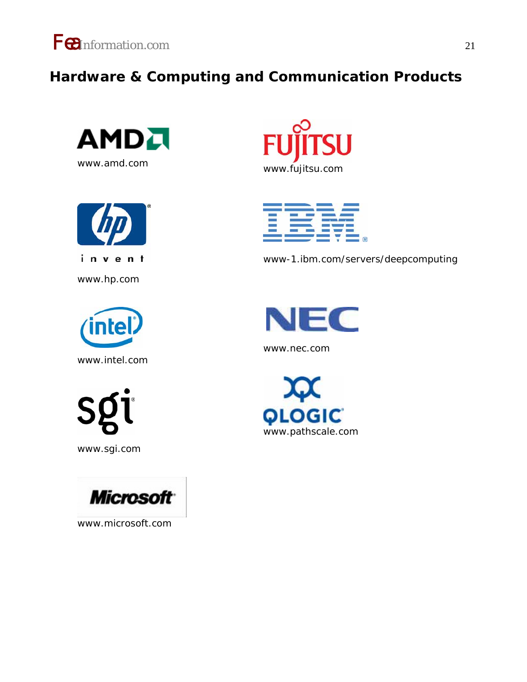

## **Hardware & Computing and Communication Products**





www.hp.com



www.intel.com

S www.sgi.com



www.microsoft.com





www-1.ibm.com/servers/deepcomputing



www.nec.com

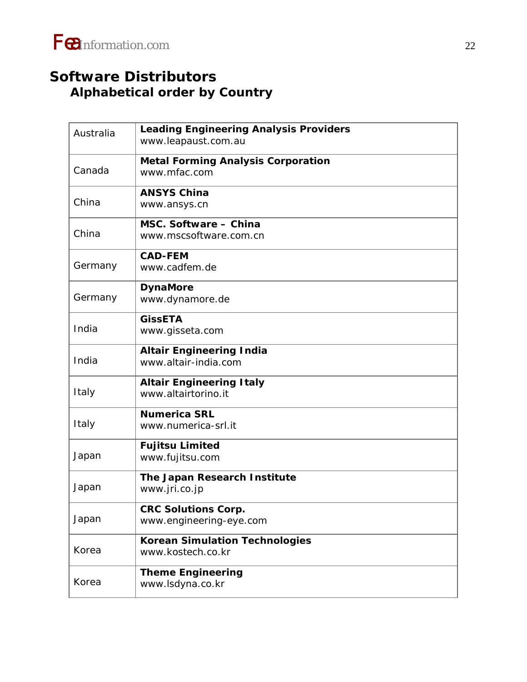## **Software Distributors Alphabetical order by Country**

| Australia | <b>Leading Engineering Analysis Providers</b><br>www.leapaust.com.au |
|-----------|----------------------------------------------------------------------|
| Canada    | <b>Metal Forming Analysis Corporation</b><br>www.mfac.com            |
| China     | <b>ANSYS China</b><br>www.ansys.cn                                   |
| China     | MSC. Software - China<br>www.mscsoftware.com.cn                      |
| Germany   | <b>CAD-FEM</b><br>www.cadfem.de                                      |
| Germany   | <b>DynaMore</b><br>www.dynamore.de                                   |
| India     | <b>GissETA</b><br>www.gisseta.com                                    |
| India     | <b>Altair Engineering India</b><br>www.altair-india.com              |
| Italy     | <b>Altair Engineering Italy</b><br>www.altairtorino.it               |
| Italy     | <b>Numerica SRL</b><br>www.numerica-srl.it                           |
| Japan     | <b>Fujitsu Limited</b><br>www.fujitsu.com                            |
| Japan     | The Japan Research Institute<br>www.jri.co.jp                        |
| Japan     | <b>CRC Solutions Corp.</b><br>www.engineering-eye.com                |
| Korea     | <b>Korean Simulation Technologies</b><br>www.kostech.co.kr           |
| Korea     | <b>Theme Engineering</b><br>www.lsdyna.co.kr                         |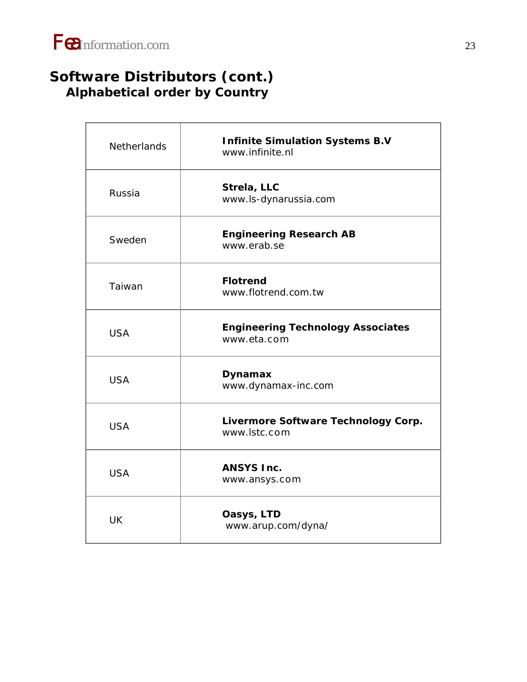## **Software Distributors (cont.) Alphabetical order by Country**

| <b>Netherlands</b> | <b>Infinite Simulation Systems B.V</b><br>www.infinite.nl |
|--------------------|-----------------------------------------------------------|
| Russia             | Strela, LLC<br>www.ls-dynarussia.com                      |
| Sweden             | <b>Engineering Research AB</b><br>www.erab.se             |
| Taiwan             | <b>Flotrend</b><br>www.flotrend.com.tw                    |
| <b>USA</b>         | <b>Engineering Technology Associates</b><br>www.eta.com   |
| <b>USA</b>         | <b>Dynamax</b><br>www.dynamax-inc.com                     |
| <b>USA</b>         | Livermore Software Technology Corp.<br>www.lstc.com       |
| <b>USA</b>         | <b>ANSYS Inc.</b><br>www.ansys.com                        |
| <b>UK</b>          | Oasys, LTD<br>www.arup.com/dyna/                          |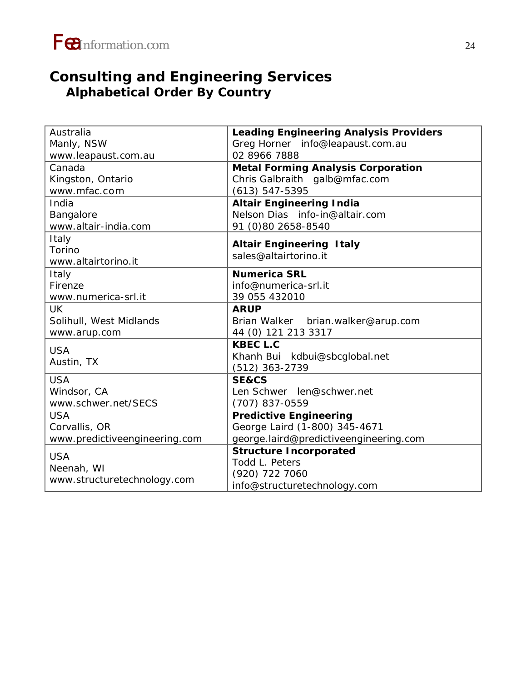## **Consulting and Engineering Services Alphabetical Order By Country**

| Australia                     | <b>Leading Engineering Analysis Providers</b> |  |
|-------------------------------|-----------------------------------------------|--|
| Manly, NSW                    | Greg Horner info@leapaust.com.au              |  |
| www.leapaust.com.au           | 02 8966 7888                                  |  |
| Canada                        | <b>Metal Forming Analysis Corporation</b>     |  |
| Kingston, Ontario             | Chris Galbraith galb@mfac.com                 |  |
| www.mfac.com                  | $(613) 547 - 5395$                            |  |
| India                         | <b>Altair Engineering India</b>               |  |
| Bangalore                     | Nelson Dias info-in@altair.com                |  |
| www.altair-india.com          | 91 (0)80 2658-8540                            |  |
| Italy                         | <b>Altair Engineering Italy</b>               |  |
| Torino                        | sales@altairtorino.it                         |  |
| www.altairtorino.it           |                                               |  |
| Italy                         | <b>Numerica SRL</b>                           |  |
| Firenze                       | info@numerica-srl.it                          |  |
| www.numerica-srl.it           | 39 055 432010                                 |  |
| <b>UK</b>                     | <b>ARUP</b>                                   |  |
| Solihull, West Midlands       | Brian Walker brian.walker@arup.com            |  |
| www.arup.com                  | 44 (0) 121 213 3317                           |  |
| <b>USA</b>                    | <b>KBEC L.C</b>                               |  |
| Austin, TX                    | Khanh Bui kdbui@sbcglobal.net                 |  |
|                               | $(512)$ 363-2739                              |  |
| <b>USA</b>                    | <b>SE&amp;CS</b>                              |  |
| Windsor, CA                   | Len Schwer len@schwer.net                     |  |
| www.schwer.net/SECS           | (707) 837-0559                                |  |
| <b>USA</b>                    | <b>Predictive Engineering</b>                 |  |
| Corvallis, OR                 | George Laird (1-800) 345-4671                 |  |
| www.predictiveengineering.com | george.laird@predictiveengineering.com        |  |
| <b>USA</b>                    | <b>Structure Incorporated</b>                 |  |
| Neenah, WI                    | Todd L. Peters                                |  |
| www.structuretechnology.com   | (920) 722 7060                                |  |
|                               | info@structuretechnology.com                  |  |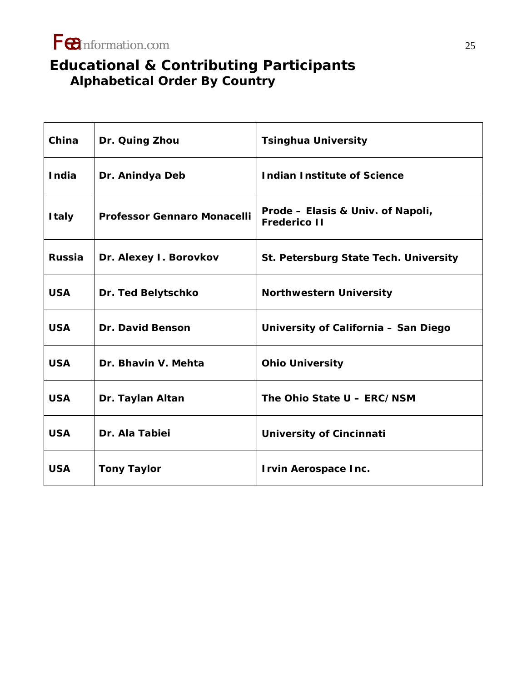## **Educational & Contributing Participants Alphabetical Order By Country**

| China         | Dr. Quing Zhou                     | <b>Tsinghua University</b>                               |
|---------------|------------------------------------|----------------------------------------------------------|
| India         | Dr. Anindya Deb                    | <b>Indian Institute of Science</b>                       |
| <b>Italy</b>  | <b>Professor Gennaro Monacelli</b> | Prode – Elasis & Univ. of Napoli,<br><b>Frederico II</b> |
| <b>Russia</b> | Dr. Alexey I. Borovkov             | St. Petersburg State Tech. University                    |
| <b>USA</b>    | Dr. Ted Belytschko                 | <b>Northwestern University</b>                           |
| <b>USA</b>    | <b>Dr. David Benson</b>            | University of California - San Diego                     |
| <b>USA</b>    | Dr. Bhavin V. Mehta                | <b>Ohio University</b>                                   |
| <b>USA</b>    | Dr. Taylan Altan                   | The Ohio State U - ERC/NSM                               |
| <b>USA</b>    | Dr. Ala Tabiei                     | <b>University of Cincinnati</b>                          |
| <b>USA</b>    | <b>Tony Taylor</b>                 | <b>Irvin Aerospace Inc.</b>                              |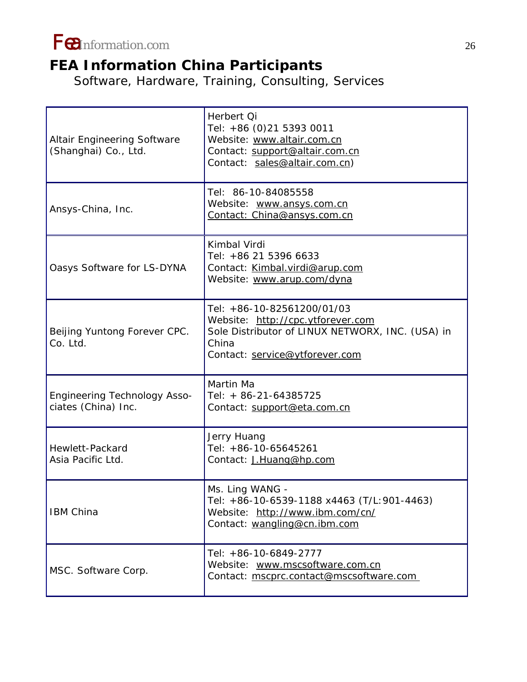

## **FEA Information China Participants**

Software, Hardware, Training, Consulting, Services

| <b>Altair Engineering Software</b><br>(Shanghai) Co., Ltd. | Herbert Qi<br>Tel: +86 (0)21 5393 0011<br>Website: www.altair.com.cn<br>Contact: support@altair.com.cn<br>Contact: sales@altair.com.cn)                        |
|------------------------------------------------------------|----------------------------------------------------------------------------------------------------------------------------------------------------------------|
| Ansys-China, Inc.                                          | Tel: 86-10-84085558<br>Website: www.ansys.com.cn<br>Contact: China@ansys.com.cn                                                                                |
| Oasys Software for LS-DYNA                                 | Kimbal Virdi<br>Tel: +86 21 5396 6633<br>Contact: Kimbal.virdi@arup.com<br>Website: www.arup.com/dyna                                                          |
| Beijing Yuntong Forever CPC.<br>Co. Ltd.                   | Tel: +86-10-82561200/01/03<br>Website: http://cpc.ytforever.com<br>Sole Distributor of LINUX NETWORX, INC. (USA) in<br>China<br>Contact: service@ytforever.com |
| <b>Engineering Technology Asso-</b><br>ciates (China) Inc. | Martin Ma<br>Tel: + 86-21-64385725<br>Contact: support@eta.com.cn                                                                                              |
| Hewlett-Packard<br>Asia Pacific Ltd.                       | Jerry Huang<br>Tel: +86-10-65645261<br>Contact: J.Huang@hp.com                                                                                                 |
| <b>IBM China</b>                                           | Ms. Ling WANG -<br>Tel: +86-10-6539-1188 x4463 (T/L:901-4463)<br>Website: http://www.ibm.com/cn/<br>Contact: wangling@cn.ibm.com                               |
| MSC. Software Corp.                                        | Tel: +86-10-6849-2777<br>Website: www.mscsoftware.com.cn<br>Contact: mscprc.contact@mscsoftware.com                                                            |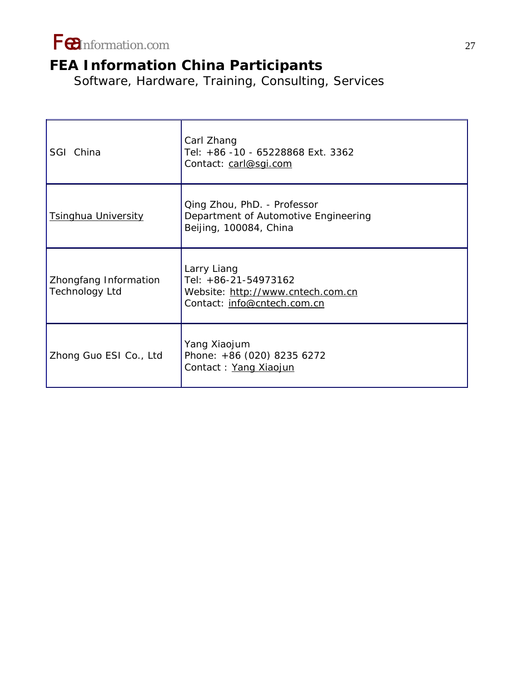

## **FEA Information China Participants**

Software, Hardware, Training, Consulting, Services

| SGI China                                      | Carl Zhang<br>Tel: +86 -10 - 65228868 Ext. 3362<br>Contact: carl@sgi.com                                |
|------------------------------------------------|---------------------------------------------------------------------------------------------------------|
| <b>Tsinghua University</b>                     | Qing Zhou, PhD. - Professor<br>Department of Automotive Engineering<br>Beijing, 100084, China           |
| Zhongfang Information<br><b>Technology Ltd</b> | Larry Liang<br>Tel: +86-21-54973162<br>Website: http://www.cntech.com.cn<br>Contact: info@cntech.com.cn |
| Zhong Guo ESI Co., Ltd                         | Yang Xiaojum<br>Phone: +86 (020) 8235 6272<br>Contact: Yang Xiaojun                                     |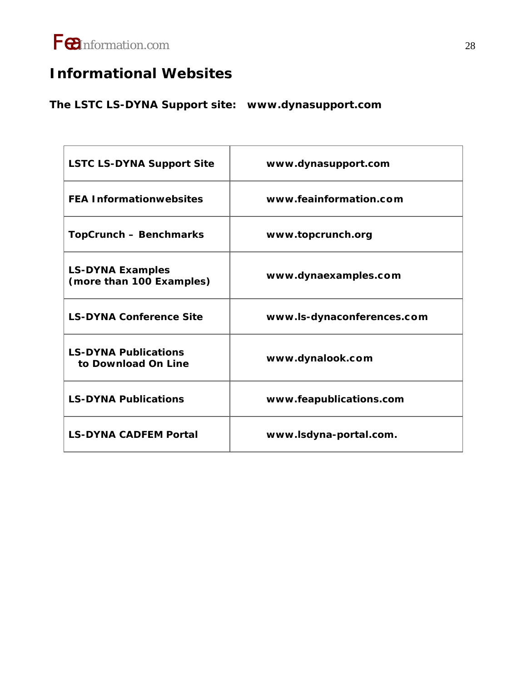

## **Informational Websites**

**The LSTC LS-DYNA Support site: www.dynasupport.com** 

| <b>LSTC LS-DYNA Support Site</b>                    | www.dynasupport.com        |
|-----------------------------------------------------|----------------------------|
| <b>FEA Informationwebsites</b>                      | www.feainformation.com     |
| <b>TopCrunch - Benchmarks</b>                       | www.topcrunch.org          |
| <b>LS-DYNA Examples</b><br>(more than 100 Examples) | www.dynaexamples.com       |
| <b>LS-DYNA Conference Site</b>                      | www.ls-dynaconferences.com |
| <b>LS-DYNA Publications</b><br>to Download On Line  | www.dynalook.com           |
| <b>LS-DYNA Publications</b>                         | www.feapublications.com    |
| <b>LS-DYNA CADFEM Portal</b>                        | www.lsdyna-portal.com.     |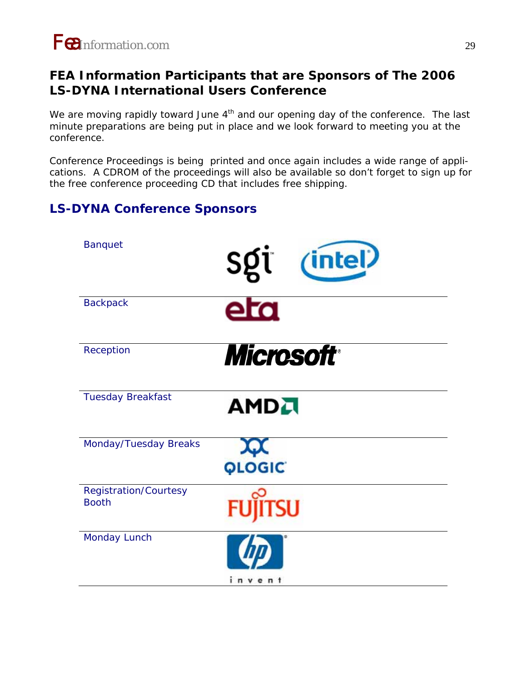

### **FEA Information Participants that are Sponsors of The 2006 LS-DYNA International Users Conference**

We are moving rapidly toward June  $4<sup>th</sup>$  and our opening day of the conference. The last minute preparations are being put in place and we look forward to meeting you at the conference.

Conference Proceedings is being printed and once again includes a wide range of applications. A CDROM of the proceedings will also be available so don't forget to sign up for the free conference proceeding CD that includes free shipping.

### **LS-DYNA Conference Sponsors**

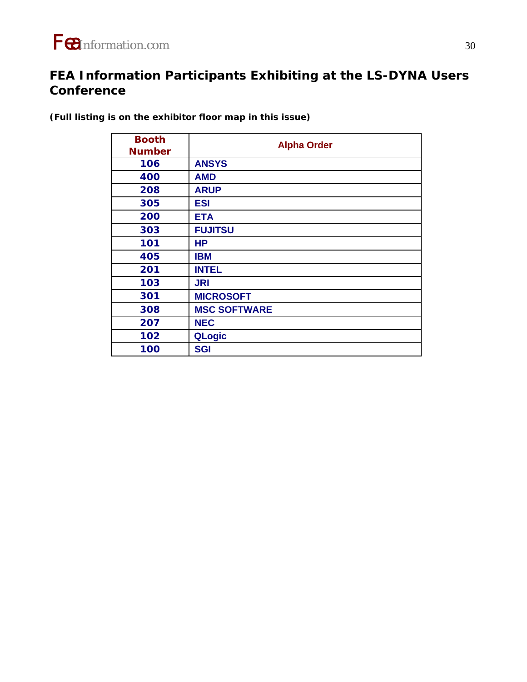## **FEA Information Participants Exhibiting at the LS-DYNA Users Conference**

| <b>Booth</b><br><b>Number</b> | <b>Alpha Order</b>  |
|-------------------------------|---------------------|
| 106                           | <b>ANSYS</b>        |
| 400                           | <b>AMD</b>          |
| 208                           | <b>ARUP</b>         |
| 305                           | <b>ESI</b>          |
| 200                           | <b>ETA</b>          |
| 303                           | <b>FUJITSU</b>      |
| 101                           | HР                  |
| 405                           | <b>IBM</b>          |
| 201                           | <b>INTEL</b>        |
| 103                           | <b>JRI</b>          |
| 301                           | <b>MICROSOFT</b>    |
| 308                           | <b>MSC SOFTWARE</b> |
| 207                           | <b>NEC</b>          |
| 102                           | <b>QLogic</b>       |
| 100                           | <b>SGI</b>          |

**(Full listing is on the exhibitor floor map in this issue)**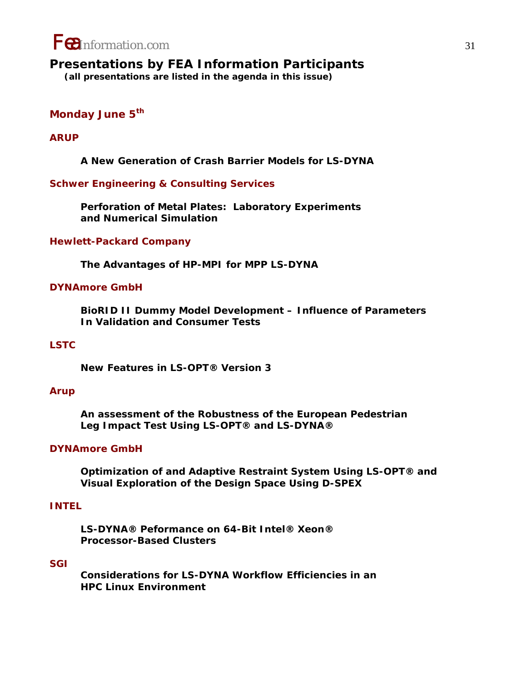

### **Presentations by FEA Information Participants**

 **(all presentations are listed in the agenda in this issue)**

### **Monday June 5th**

### **ARUP**

**A New Generation of Crash Barrier Models for LS-DYNA** 

### **Schwer Engineering & Consulting Services**

 **Perforation of Metal Plates: Laboratory Experiments and Numerical Simulation** 

### **Hewlett-Packard Company**

 **The Advantages of HP-MPI for MPP LS-DYNA** 

#### **DYNA***more* **G***mb***H**

 **BioRID II Dummy Model Development – Influence of Parameters In Validation and Consumer Tests** 

### **LSTC**

 **New Features in LS-OPT® Version 3** 

#### **Arup**

 **An assessment of the Robustness of the European Pedestrian Leg Impact Test Using LS-OPT® and LS-DYNA®** 

### **DYNA***more* **G***mb***H**

 **Optimization of and Adaptive Restraint System Using LS-OPT® and Visual Exploration of the Design Space Using D-SPEX** 

### **INTEL**

 **LS-DYNA® Peformance on 64-Bit Intel® Xeon® Processor-Based Clusters** 

### **SGI**

 **Considerations for LS-DYNA Workflow Efficiencies in an HPC Linux Environment**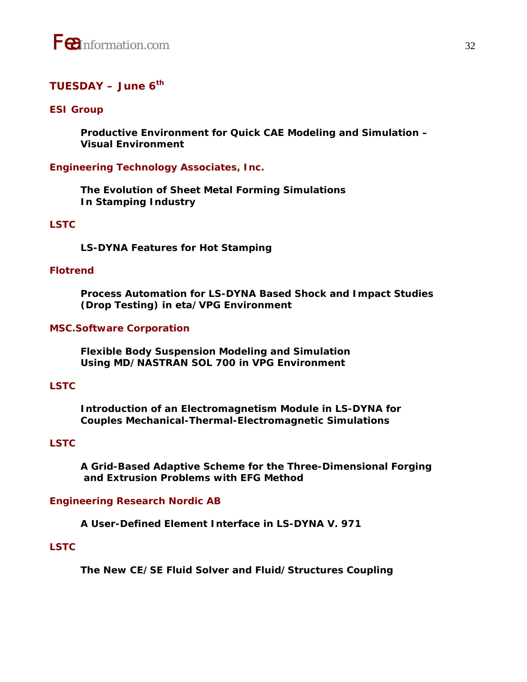

### **TUESDAY – June 6th**

### **ESI Group**

 **Productive Environment for Quick CAE Modeling and Simulation – Visual Environment** 

**Engineering Technology Associates, Inc.** 

 **The Evolution of Sheet Metal Forming Simulations In Stamping Industry** 

### **LSTC**

 **LS-DYNA Features for Hot Stamping** 

### **Flotrend**

 **Process Automation for LS-DYNA Based Shock and Impact Studies (Drop Testing) in eta/VPG Environment** 

### **MSC.Software Corporation**

 **Flexible Body Suspension Modeling and Simulation Using MD/NASTRAN SOL 700 in VPG Environment** 

### **LSTC**

 **Introduction of an Electromagnetism Module in LS-DYNA for Couples Mechanical-Thermal-Electromagnetic Simulations** 

### **LSTC**

 **A Grid-Based Adaptive Scheme for the Three-Dimensional Forging and Extrusion Problems with EFG Method** 

#### **Engineering Research Nordic AB**

 **A User-Defined Element Interface in LS-DYNA V. 971** 

### **LSTC**

 **The New CE/SE Fluid Solver and Fluid/Structures Coupling**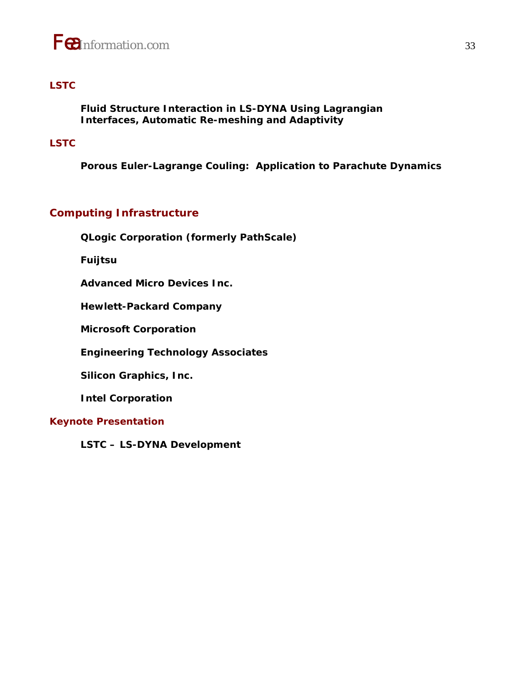

### **LSTC**

 **Fluid Structure Interaction in LS-DYNA Using Lagrangian Interfaces, Automatic Re-meshing and Adaptivity** 

### **LSTC**

 **Porous Euler-Lagrange Couling: Application to Parachute Dynamics** 

### **Computing Infrastructure**

 **QLogic Corporation (formerly PathScale)** 

 **Fuijtsu** 

 **Advanced Micro Devices Inc.** 

 **Hewlett-Packard Company** 

 **Microsoft Corporation** 

 **Engineering Technology Associates** 

 **Silicon Graphics, Inc.** 

 **Intel Corporation** 

### **Keynote Presentation**

 **LSTC – LS-DYNA Development**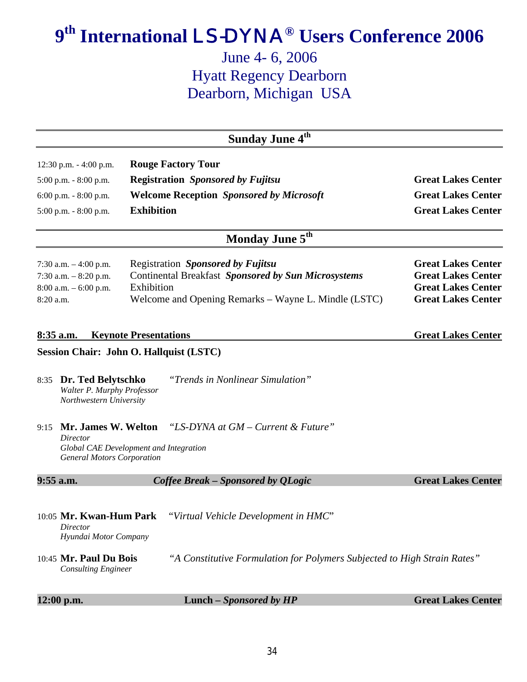# **9th International LS-DYNA® Users Conference 2006**

## June 4- 6, 2006 Hyatt Regency Dearborn Dearborn, Michigan USA

| <b>Sunday June 4th</b>                                                                                |                                                                                                                                                                |                                                                                                                  |
|-------------------------------------------------------------------------------------------------------|----------------------------------------------------------------------------------------------------------------------------------------------------------------|------------------------------------------------------------------------------------------------------------------|
| 12:30 p.m. - 4:00 p.m.<br>$5:00$ p.m. $-8:00$ p.m.<br>6:00 p.m. $-8:00$ p.m.<br>5:00 p.m. - 8:00 p.m. | <b>Rouge Factory Tour</b><br><b>Registration</b> Sponsored by Fujitsu<br><b>Welcome Reception Sponsored by Microsoft</b><br><b>Exhibition</b>                  | <b>Great Lakes Center</b><br><b>Great Lakes Center</b><br><b>Great Lakes Center</b>                              |
|                                                                                                       | Monday June 5th                                                                                                                                                |                                                                                                                  |
| 7:30 a.m. $-4:00$ p.m.<br>7:30 a.m. $-8:20$ p.m.<br>$8:00$ a.m. $-6:00$ p.m.<br>8:20 a.m.             | Registration Sponsored by Fujitsu<br>Continental Breakfast Sponsored by Sun Microsystems<br>Exhibition<br>Welcome and Opening Remarks – Wayne L. Mindle (LSTC) | <b>Great Lakes Center</b><br><b>Great Lakes Center</b><br><b>Great Lakes Center</b><br><b>Great Lakes Center</b> |
| $8:35$ a.m.                                                                                           | <b>Keynote Presentations</b><br><b>Session Chair: John O. Hallquist (LSTC)</b>                                                                                 | <b>Great Lakes Center</b>                                                                                        |
| 8:35 Dr. Ted Belytschko<br>Walter P. Murphy Professor<br>Northwestern University                      | "Trends in Nonlinear Simulation"                                                                                                                               |                                                                                                                  |
| 9:15<br>Director<br><b>General Motors Corporation</b>                                                 | Mr. James W. Welton "LS-DYNA at GM – Current & Future"<br>Global CAE Development and Integration                                                               |                                                                                                                  |
| 9:55 a.m.                                                                                             | Coffee Break - Sponsored by OLogic                                                                                                                             | <b>Great Lakes Center</b>                                                                                        |
| 10:05 Mr. Kwan-Hum Park<br><b>Director</b><br>Hyundai Motor Company                                   | "Virtual Vehicle Development in HMC"                                                                                                                           |                                                                                                                  |
| 10:45 Mr. Paul Du Bois<br><b>Consulting Engineer</b>                                                  | "A Constitutive Formulation for Polymers Subjected to High Strain Rates"                                                                                       |                                                                                                                  |
| 12:00 p.m.                                                                                            | Lunch - Sponsored by HP                                                                                                                                        | <b>Great Lakes Center</b>                                                                                        |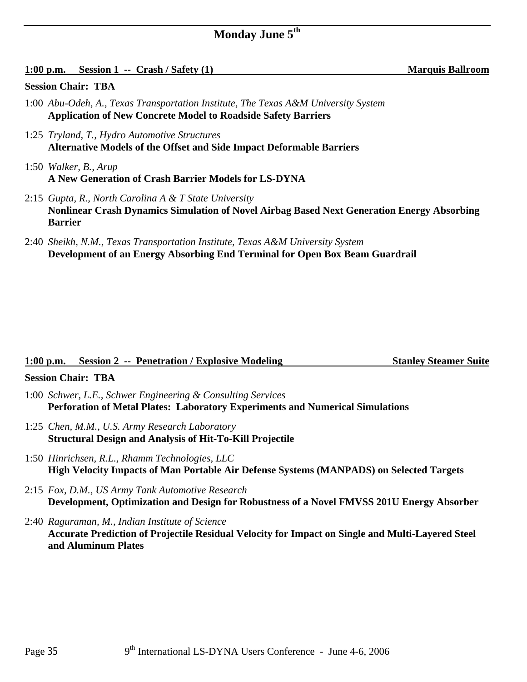## **Monday June 5th**

**1:00 p.m. Session 1 -- Crash / Safety (1) Marquis Ballroom**

### **Session Chair: TBA**

- 1:00 *Abu-Odeh, A., Texas Transportation Institute, The Texas A&M University System*   **Application of New Concrete Model to Roadside Safety Barriers**
- 1:25 *Tryland, T., Hydro Automotive Structures*   **Alternative Models of the Offset and Side Impact Deformable Barriers**
- 1:50 *Walker, B., Arup*  **A New Generation of Crash Barrier Models for LS-DYNA**
- 2:15 *Gupta, R., North Carolina A & T State University*  **Nonlinear Crash Dynamics Simulation of Novel Airbag Based Next Generation Energy Absorbing Barrier**
- 2:40 *Sheikh, N.M., Texas Transportation Institute, Texas A&M University System*  **Development of an Energy Absorbing End Terminal for Open Box Beam Guardrail**

### **1:00 p.m.** Session 2 -- Penetration / Explosive Modeling Stanley Steamer Suite

- 1:00 *Schwer, L.E., Schwer Engineering & Consulting Services*  **Perforation of Metal Plates: Laboratory Experiments and Numerical Simulations**
- 1:25 *Chen, M.M., U.S. Army Research Laboratory*  **Structural Design and Analysis of Hit-To-Kill Projectile**
- 1:50 *Hinrichsen, R.L., Rhamm Technologies, LLC*  **High Velocity Impacts of Man Portable Air Defense Systems (MANPADS) on Selected Targets**
- 2:15 *Fox, D.M., US Army Tank Automotive Research*  **Development, Optimization and Design for Robustness of a Novel FMVSS 201U Energy Absorber**
- 2:40 *Raguraman, M., Indian Institute of Science*  **Accurate Prediction of Projectile Residual Velocity for Impact on Single and Multi-Layered Steel and Aluminum Plates**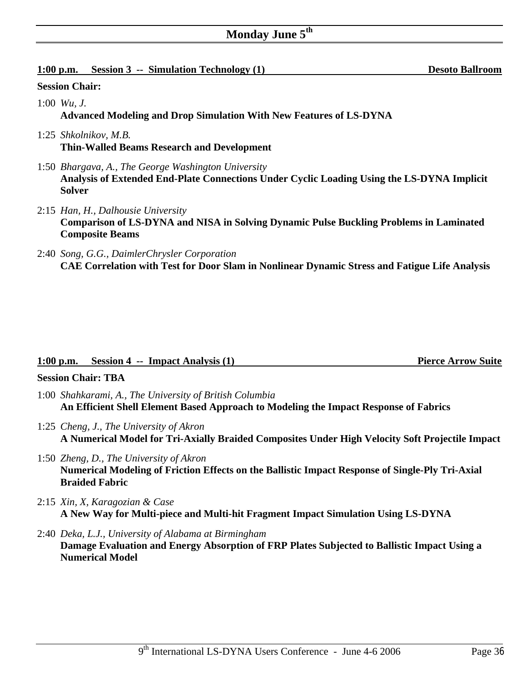| Session $3$ -- Simulation Technology $(1)$<br>$1:00$ p.m.                                                                                                          | <b>Desoto Ballroom</b> |
|--------------------------------------------------------------------------------------------------------------------------------------------------------------------|------------------------|
| <b>Session Chair:</b>                                                                                                                                              |                        |
| 1:00 <i>Wu, J.</i><br><b>Advanced Modeling and Drop Simulation With New Features of LS-DYNA</b>                                                                    |                        |
| 1:25 Shkolnikov, M.B.<br><b>Thin-Walled Beams Research and Development</b>                                                                                         |                        |
| 1:50 Bhargava, A., The George Washington University<br>Analysis of Extended End-Plate Connections Under Cyclic Loading Using the LS-DYNA Implicit<br><b>Solver</b> |                        |
| 2:15 Han, H., Dalhousie University                                                                                                                                 |                        |

- **Comparison of LS-DYNA and NISA in Solving Dynamic Pulse Buckling Problems in Laminated Composite Beams**
- 2:40 *Song, G.G., DaimlerChrysler Corporation*  **CAE Correlation with Test for Door Slam in Nonlinear Dynamic Stress and Fatigue Life Analysis**

### **1:00 p.m. Session 4 -- Impact Analysis (1) Pierce Arrow Suite**

- 1:00 *Shahkarami, A., The University of British Columbia*  **An Efficient Shell Element Based Approach to Modeling the Impact Response of Fabrics**
- 1:25 *Cheng, J., The University of Akron*  **A Numerical Model for Tri-Axially Braided Composites Under High Velocity Soft Projectile Impact**
- 1:50 *Zheng, D., The University of Akron*  **Numerical Modeling of Friction Effects on the Ballistic Impact Response of Single-Ply Tri-Axial Braided Fabric**
- 2:15 *Xin, X, Karagozian & Case*  **A New Way for Multi-piece and Multi-hit Fragment Impact Simulation Using LS-DYNA**
- 2:40 *Deka, L.J., University of Alabama at Birmingham*  **Damage Evaluation and Energy Absorption of FRP Plates Subjected to Ballistic Impact Using a Numerical Model**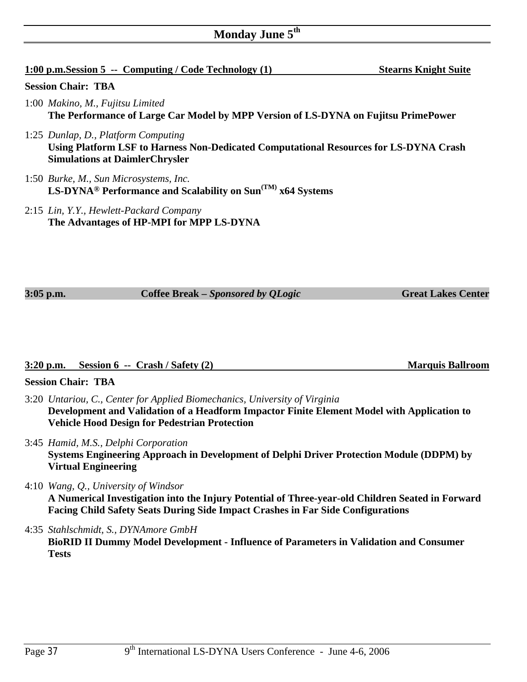## **Monday June 5th**

| 1:00 p.m.Session 5 -- Computing / Code Technology (1)                                                                                                                 | <b>Stearns Knight Suite</b> |
|-----------------------------------------------------------------------------------------------------------------------------------------------------------------------|-----------------------------|
| <b>Session Chair: TBA</b>                                                                                                                                             |                             |
| 1:00 Makino, M., Fujitsu Limited<br>The Performance of Large Car Model by MPP Version of LS-DYNA on Fujitsu PrimePower                                                |                             |
| 1:25 Dunlap, D., Platform Computing<br>Using Platform LSF to Harness Non-Dedicated Computational Resources for LS-DYNA Crash<br><b>Simulations at DaimlerChrysler</b> |                             |
| 1:50 Burke, M., Sun Microsystems, Inc.                                                                                                                                |                             |

- **LS-DYNA® Performance and Scalability on Sun(TM) x64 Systems**
- 2:15 *Lin, Y.Y., Hewlett-Packard Company*  **The Advantages of HP-MPI for MPP LS-DYNA**

**3:05 p.m. Coffee Break** *– Sponsored by QLogic* **Great Lakes Center** 

### **3:20 p.m.** Session 6 -- Crash / Safety (2) Marquis Ballroom

**Session Chair: TBA** 

- 3:20 *Untariou, C., Center for Applied Biomechanics, University of Virginia*  **Development and Validation of a Headform Impactor Finite Element Model with Application to Vehicle Hood Design for Pedestrian Protection**
- 3:45 *Hamid, M.S., Delphi Corporation*  **Systems Engineering Approach in Development of Delphi Driver Protection Module (DDPM) by Virtual Engineering**
- 4:10 *Wang, Q., University of Windsor*

**A Numerical Investigation into the Injury Potential of Three-year-old Children Seated in Forward Facing Child Safety Seats During Side Impact Crashes in Far Side Configurations** 

4:35 *Stahlschmidt, S., DYNAmore GmbH*  **BioRID II Dummy Model Development - Influence of Parameters in Validation and Consumer Tests**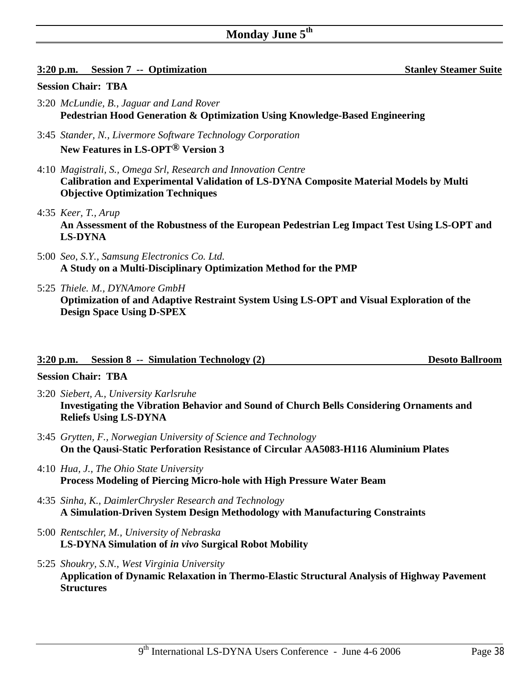## **Monday June 5th**

### **3:20 p.m.** Session 7 -- Optimization Stanley Steamer Suite

### **Session Chair: TBA**

- 3:20 *McLundie, B., Jaguar and Land Rover*  **Pedestrian Hood Generation & Optimization Using Knowledge-Based Engineering**
- 3:45 *Stander, N., Livermore Software Technology Corporation*  **New Features in LS-OPT® Version 3**
- 4:10 *Magistrali, S., Omega Srl, Research and Innovation Centre*  **Calibration and Experimental Validation of LS-DYNA Composite Material Models by Multi Objective Optimization Techniques**
- 4:35 *Keer, T., Arup*  **An Assessment of the Robustness of the European Pedestrian Leg Impact Test Using LS-OPT and LS-DYNA**
- 5:00 *Seo, S.Y., Samsung Electronics Co. Ltd.*  **A Study on a Multi-Disciplinary Optimization Method for the PMP**
- 5:25 *Thiele. M., DYNAmore GmbH*  **Optimization of and Adaptive Restraint System Using LS-OPT and Visual Exploration of the Design Space Using D-SPEX**

### **3:20 p.m. Session 8 -- Simulation Technology (2) Desoto Ballroom**

- 3:20 *Siebert, A., University Karlsruhe*  **Investigating the Vibration Behavior and Sound of Church Bells Considering Ornaments and Reliefs Using LS-DYNA**
- 3:45 *Grytten, F., Norwegian University of Science and Technology*  **On the Qausi-Static Perforation Resistance of Circular AA5083-H116 Aluminium Plates**
- 4:10 *Hua, J., The Ohio State University*  **Process Modeling of Piercing Micro-hole with High Pressure Water Beam**
- 4:35 *Sinha, K., DaimlerChrysler Research and Technology*  **A Simulation-Driven System Design Methodology with Manufacturing Constraints**
- 5:00 *Rentschler, M., University of Nebraska*  **LS-DYNA Simulation of** *in vivo* **Surgical Robot Mobility**
- 5:25 *Shoukry, S.N., West Virginia University*  **Application of Dynamic Relaxation in Thermo-Elastic Structural Analysis of Highway Pavement Structures**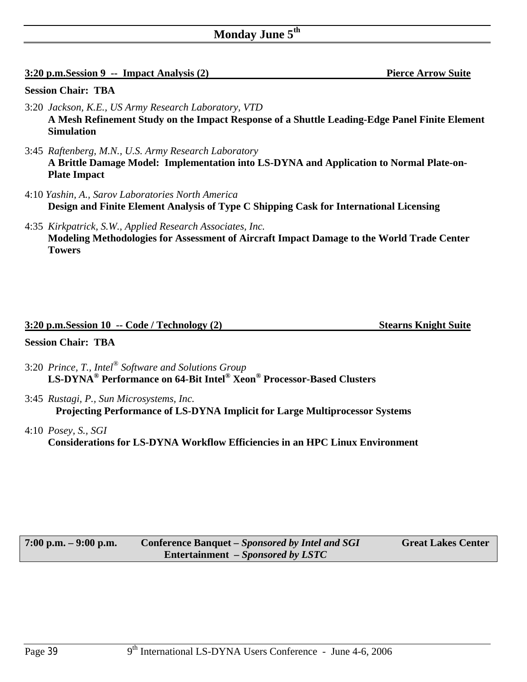| <b>Session Chair: TBA</b>                                                                                                                                                  |
|----------------------------------------------------------------------------------------------------------------------------------------------------------------------------|
| 3:20 Jackson, K.E., US Army Research Laboratory, VTD<br>A Mesh Refinement Study on the Impact Response of a Shuttle Leading-Edge Panel Finite Element<br><b>Simulation</b> |
| 3:45 Raftenberg, M.N., U.S. Army Research Laboratory<br>A Brittle Damage Model: Implementation into LS-DYNA and Application to Normal Plate-on-<br><b>Plate Impact</b>     |
| 4:10 Yashin, A., Sarov Laboratories North America<br>Design and Finite Element Analysis of Type C Shipping Cask for International Licensing                                |

**3:20 p.m.Session 9 -- Impact Analysis (2) Pierce Arrow Suite**

4:35 *Kirkpatrick, S.W., Applied Research Associates, Inc.*  **Modeling Methodologies for Assessment of Aircraft Impact Damage to the World Trade Center Towers**

| $3:20$ p.m. Session $10 - \text{Code}/\text{Technology}$ (2) |  |  |
|--------------------------------------------------------------|--|--|
|                                                              |  |  |

**Stearns Knight Suite** 

- 3:20 *Prince, T., Intel® Software and Solutions Group*  **LS-DYNA® Performance on 64-Bit Intel® Xeon® Processor-Based Clusters**
- 3:45 *Rustagi, P., Sun Microsystems, Inc.*  **Projecting Performance of LS-DYNA Implicit for Large Multiprocessor Systems**
- 4:10 *Posey, S., SGI*  **Considerations for LS-DYNA Workflow Efficiencies in an HPC Linux Environment**

| $7:00 \text{ p.m.} - 9:00 \text{ p.m.}$ | Conference Banquet – Sponsored by Intel and SGI | <b>Great Lakes Center</b> |
|-----------------------------------------|-------------------------------------------------|---------------------------|
|                                         | <b>Entertainment</b> – Sponsored by LSTC        |                           |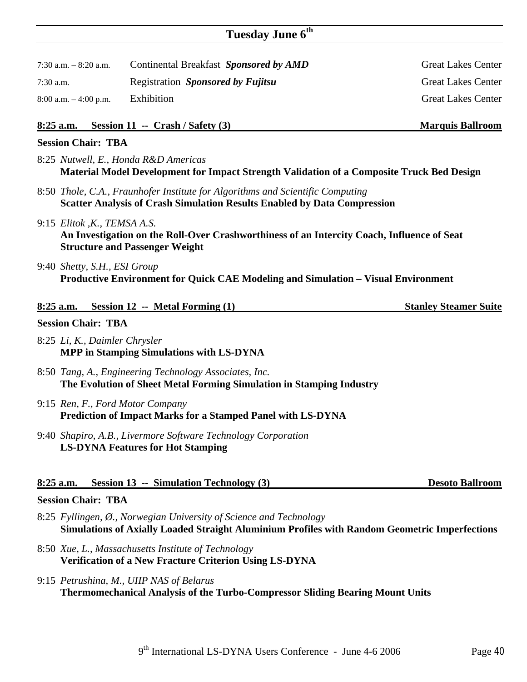|                                                                                                                                                                               | Tuesday June 6th                                                                                                                                                  |                              |  |
|-------------------------------------------------------------------------------------------------------------------------------------------------------------------------------|-------------------------------------------------------------------------------------------------------------------------------------------------------------------|------------------------------|--|
| 7:30 a.m. $-8:20$ a.m.                                                                                                                                                        | Continental Breakfast Sponsored by AMD                                                                                                                            | <b>Great Lakes Center</b>    |  |
| $7:30$ a.m.                                                                                                                                                                   | Registration Sponsored by Fujitsu                                                                                                                                 | <b>Great Lakes Center</b>    |  |
| $8:00$ a.m. $-4:00$ p.m.                                                                                                                                                      | Exhibition                                                                                                                                                        | <b>Great Lakes Center</b>    |  |
|                                                                                                                                                                               | <u>8:25 a.m. Session 11 -- Crash / Safety (3)</u>                                                                                                                 | <b>Marquis Ballroom</b>      |  |
| <b>Session Chair: TBA</b>                                                                                                                                                     |                                                                                                                                                                   |                              |  |
|                                                                                                                                                                               | 8:25 Nutwell, E., Honda R&D Americas<br>Material Model Development for Impact Strength Validation of a Composite Truck Bed Design                                 |                              |  |
|                                                                                                                                                                               | 8:50 Thole, C.A., Fraunhofer Institute for Algorithms and Scientific Computing<br><b>Scatter Analysis of Crash Simulation Results Enabled by Data Compression</b> |                              |  |
| 9:15 Elitok , K., TEMSA A.S.                                                                                                                                                  | An Investigation on the Roll-Over Crashworthiness of an Intercity Coach, Influence of Seat<br><b>Structure and Passenger Weight</b>                               |                              |  |
| 9:40 Shetty, S.H., ESI Group                                                                                                                                                  | <b>Productive Environment for Quick CAE Modeling and Simulation – Visual Environment</b>                                                                          |                              |  |
|                                                                                                                                                                               | <u>8:25 a.m. Session 12 -- Metal Forming (1)</u>                                                                                                                  | <b>Stanley Steamer Suite</b> |  |
| <b>Session Chair: TBA</b>                                                                                                                                                     |                                                                                                                                                                   |                              |  |
| 8:25 Li, K., Daimler Chrysler                                                                                                                                                 | <b>MPP in Stamping Simulations with LS-DYNA</b>                                                                                                                   |                              |  |
| 8:50 Tang, A., Engineering Technology Associates, Inc.<br>The Evolution of Sheet Metal Forming Simulation in Stamping Industry                                                |                                                                                                                                                                   |                              |  |
| 9:15 Ren, F., Ford Motor Company                                                                                                                                              | Prediction of Impact Marks for a Stamped Panel with LS-DYNA                                                                                                       |                              |  |
|                                                                                                                                                                               | 9:40 Shapiro, A.B., Livermore Software Technology Corporation<br><b>LS-DYNA Features for Hot Stamping</b>                                                         |                              |  |
| $8:25$ a.m.<br>$\mathbf{C}_{\text{c}}$ of $\mathbf{C}_{\text{c}}$ of $\mathbf{C}_{\text{c}}$ of $\mathbf{C}_{\text{c}}$ of $\mathbf{C}_{\text{c}}$ of $\mathbf{C}_{\text{c}}$ | Session 13 -- Simulation Technology (3)                                                                                                                           | <b>Desoto Ballroom</b>       |  |

- 8:25 *Fyllingen, Ø., Norwegian University of Science and Technology*  **Simulations of Axially Loaded Straight Aluminium Profiles with Random Geometric Imperfections**
- 8:50 *Xue, L., Massachusetts Institute of Technology*  **Verification of a New Fracture Criterion Using LS-DYNA**
- 9:15 *Petrushina, M., UIIP NAS of Belarus*  **Thermomechanical Analysis of the Turbo-Compressor Sliding Bearing Mount Units**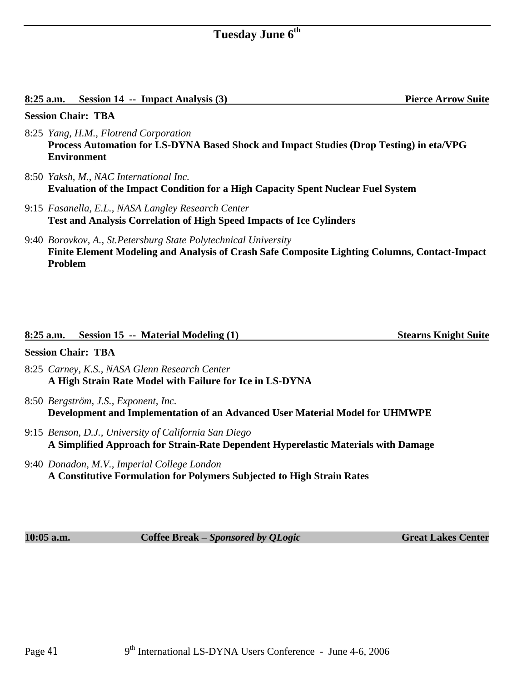**8:25 a.m. Session 14 -- Impact Analysis (3) Pierce Arrow Suite**

| <b>Session Chair: TBA</b>                                                                                                                                                                  |  |  |
|--------------------------------------------------------------------------------------------------------------------------------------------------------------------------------------------|--|--|
| 8:25 Yang, H.M., Flotrend Corporation<br>Process Automation for LS-DYNA Based Shock and Impact Studies (Drop Testing) in eta/VPG<br><b>Environment</b>                                     |  |  |
| 8:50 Yaksh, M., NAC International Inc.<br><b>Evaluation of the Impact Condition for a High Capacity Spent Nuclear Fuel System</b>                                                          |  |  |
| 9:15 Fasanella, E.L., NASA Langley Research Center<br>Test and Analysis Correlation of High Speed Impacts of Ice Cylinders                                                                 |  |  |
| 9:40 <i>Borovkov, A., St. Petersburg State Polytechnical University</i><br>Finite Element Modeling and Analysis of Crash Safe Composite Lighting Columns, Contact-Impact<br><b>Problem</b> |  |  |
| Session 15 -- Material Modeling (1)<br><b>Stearns Knight Suite</b><br>$8:25$ a.m.<br><b>Session Chair: TBA</b>                                                                             |  |  |

- 8:25 *Carney, K.S., NASA Glenn Research Center*  **A High Strain Rate Model with Failure for Ice in LS-DYNA**
- 8:50 *Bergström, J.S., Exponent, Inc.*  **Development and Implementation of an Advanced User Material Model for UHMWPE**
- 9:15 *Benson, D.J., University of California San Diego*  **A Simplified Approach for Strain-Rate Dependent Hyperelastic Materials with Damage**
- 9:40 *Donadon, M.V., Imperial College London*  **A Constitutive Formulation for Polymers Subjected to High Strain Rates**

**10:05 a.m. Coffee Break** *– Sponsored by QLogic* **Great Lakes Center**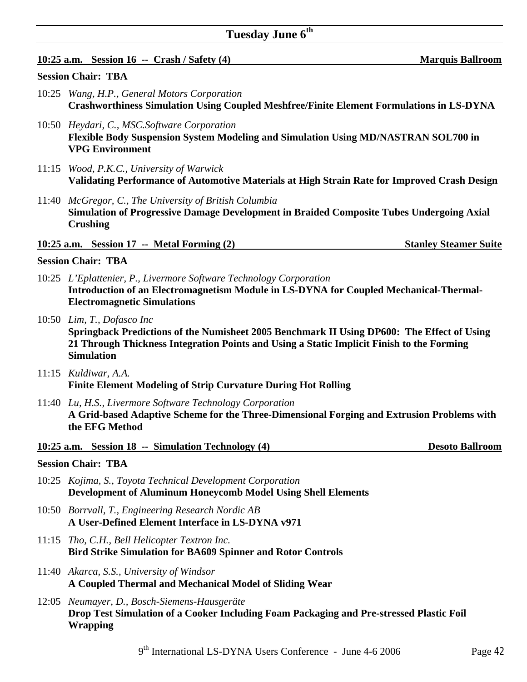### **10:25 a.m. Session 16 -- Crash / Safety (4) Marquis Ballroom**

### **Session Chair: TBA**

- 10:25 *Wang, H.P., General Motors Corporation*  **Crashworthiness Simulation Using Coupled Meshfree/Finite Element Formulations in LS-DYNA**
- 10:50 *Heydari, C., MSC.Software Corporation*  **Flexible Body Suspension System Modeling and Simulation Using MD/NASTRAN SOL700 in VPG Environment**
- 11:15 *Wood, P.K.C., University of Warwick*  **Validating Performance of Automotive Materials at High Strain Rate for Improved Crash Design**
- 11:40 *McGregor, C., The University of British Columbia*  **Simulation of Progressive Damage Development in Braided Composite Tubes Undergoing Axial Crushing**

### **10:25 a.m.** Session 17 -- Metal Forming (2) Stanley Steamer Suite

### **Session Chair: TBA**

- 10:25 *L'Eplattenier, P., Livermore Software Technology Corporation*  **Introduction of an Electromagnetism Module in LS-DYNA for Coupled Mechanical-Thermal-Electromagnetic Simulations**
- 10:50 *Lim, T., Dofasco Inc*  **Springback Predictions of the Numisheet 2005 Benchmark II Using DP600: The Effect of Using 21 Through Thickness Integration Points and Using a Static Implicit Finish to the Forming Simulation**
- 11:15 *Kuldiwar, A.A.*  **Finite Element Modeling of Strip Curvature During Hot Rolling**
- 11:40 *Lu, H.S., Livermore Software Technology Corporation*  **A Grid-based Adaptive Scheme for the Three-Dimensional Forging and Extrusion Problems with the EFG Method**
- **10:25 a.m.** Session 18 -- Simulation Technology (4) Desoto Ballroom

- 10:25 *Kojima, S., Toyota Technical Development Corporation*  **Development of Aluminum Honeycomb Model Using Shell Elements**
- 10:50 *Borrvall, T., Engineering Research Nordic AB*  **A User-Defined Element Interface in LS-DYNA v971**
- 11:15 *Tho, C.H., Bell Helicopter Textron Inc.*  **Bird Strike Simulation for BA609 Spinner and Rotor Controls**
- 11:40 *Akarca, S.S., University of Windsor*  **A Coupled Thermal and Mechanical Model of Sliding Wear**
- 12:05 *Neumayer, D., Bosch-Siemens-Hausgeräte*  **Drop Test Simulation of a Cooker Including Foam Packaging and Pre-stressed Plastic Foil Wrapping**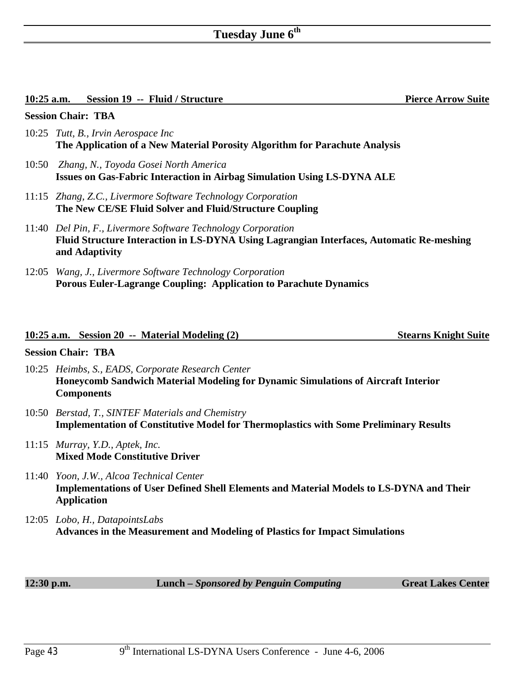|                           | <u> 10:25 a.m. Session 19 -- Fluid / Structure</u>                                                                                                                         | <b>Pierce Arrow Suite</b>   |  |
|---------------------------|----------------------------------------------------------------------------------------------------------------------------------------------------------------------------|-----------------------------|--|
| <b>Session Chair: TBA</b> |                                                                                                                                                                            |                             |  |
|                           | 10:25 Tutt, B., Irvin Aerospace Inc<br>The Application of a New Material Porosity Algorithm for Parachute Analysis                                                         |                             |  |
|                           | 10:50 Zhang, N., Toyoda Gosei North America<br><b>Issues on Gas-Fabric Interaction in Airbag Simulation Using LS-DYNA ALE</b>                                              |                             |  |
|                           | 11:15 Zhang, Z.C., Livermore Software Technology Corporation<br>The New CE/SE Fluid Solver and Fluid/Structure Coupling                                                    |                             |  |
|                           | 11:40 Del Pin, F., Livermore Software Technology Corporation<br>Fluid Structure Interaction in LS-DYNA Using Lagrangian Interfaces, Automatic Re-meshing<br>and Adaptivity |                             |  |
|                           | 12:05 Wang, J., Livermore Software Technology Corporation<br><b>Porous Euler-Lagrange Coupling: Application to Parachute Dynamics</b>                                      |                             |  |
|                           |                                                                                                                                                                            |                             |  |
|                           | 10:25 a.m. Session 20 -- Material Modeling (2)                                                                                                                             | <b>Stearns Knight Suite</b> |  |
|                           | <b>Session Chair: TBA</b>                                                                                                                                                  |                             |  |
|                           | 10:25 Heimbs, S., EADS, Corporate Research Center<br>Honeycomb Sandwich Material Modeling for Dynamic Simulations of Aircraft Interior<br><b>Components</b>                |                             |  |
|                           | 10:50 Berstad, T., SINTEF Materials and Chemistry<br><b>Implementation of Constitutive Model for Thermoplastics with Some Preliminary Results</b>                          |                             |  |
|                           | 11:15 Murray, Y.D., Aptek, Inc.<br><b>Mixed Mode Constitutive Driver</b>                                                                                                   |                             |  |
|                           | 11:40 Yoon, J.W., Alcoa Technical Center<br><b>Implementations of User Defined Shell Elements and Material Models to LS-DYNA and Their</b><br><b>Application</b>           |                             |  |

12:05 *Lobo, H., DatapointsLabs*  **Advances in the Measurement and Modeling of Plastics for Impact Simulations** 

**12:30 p.m. Lunch** *– Sponsored by Penguin Computing* **Great Lakes Center**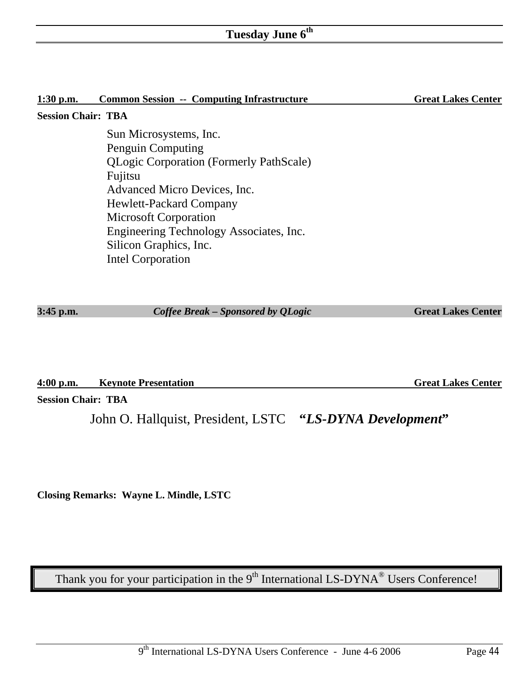| $1:30$ p.m.               | <b>Common Session -- Computing Infrastructure</b>         | <b>Great Lakes Center</b> |
|---------------------------|-----------------------------------------------------------|---------------------------|
| <b>Session Chair: TBA</b> |                                                           |                           |
|                           | Sun Microsystems, Inc.                                    |                           |
|                           | Penguin Computing                                         |                           |
|                           | <b>QLogic Corporation (Formerly PathScale)</b><br>Fujitsu |                           |
|                           | Advanced Micro Devices, Inc.                              |                           |
|                           | <b>Hewlett-Packard Company</b>                            |                           |
|                           | <b>Microsoft Corporation</b>                              |                           |
|                           | Engineering Technology Associates, Inc.                   |                           |
|                           | Silicon Graphics, Inc.                                    |                           |
|                           | <b>Intel Corporation</b>                                  |                           |
|                           |                                                           |                           |
| $3:45$ p.m.               | Coffee Break - Sponsored by QLogic                        | <b>Great Lakes Center</b> |
|                           |                                                           |                           |

**4:00 p.m. Keynote Presentation Great Lakes Center**

**Session Chair: TBA** 

John O. Hallquist, President, LSTC **"***LS-DYNA Development***"** 

**Closing Remarks: Wayne L. Mindle, LSTC** 

Thank you for your participation in the 9<sup>th</sup> International LS-DYNA<sup>®</sup> Users Conference!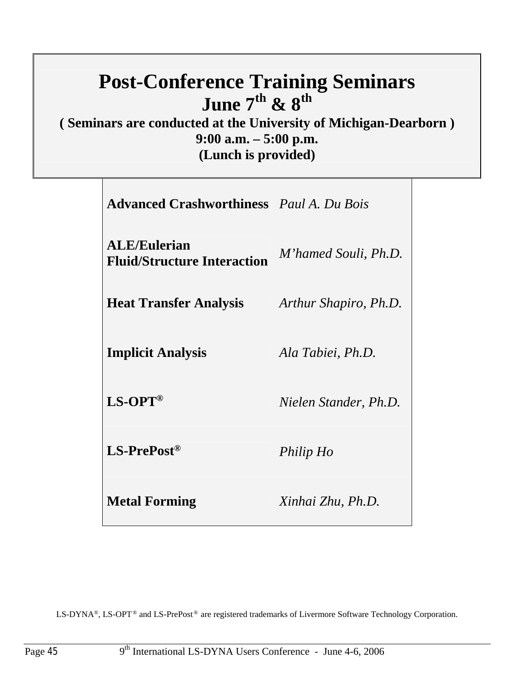# **Post-Conference Training Seminars June 7th & 8th**

## **( Seminars are conducted at the University of Michigan-Dearborn ) 9:00 a.m. – 5:00 p.m. (Lunch is provided)**

| <b>Advanced Crashworthiness</b> Paul A. Du Bois           |                       |
|-----------------------------------------------------------|-----------------------|
| <b>ALE/Eulerian</b><br><b>Fluid/Structure Interaction</b> | M'hamed Souli, Ph.D.  |
| <b>Heat Transfer Analysis</b>                             | Arthur Shapiro, Ph.D. |
| <b>Implicit Analysis</b>                                  | Ala Tabiei, Ph.D.     |
| $LS-OPT^{\circledR}$                                      | Nielen Stander, Ph.D. |
| $LS$ -PrePost <sup>®</sup>                                | Philip Ho             |
| <b>Metal Forming</b>                                      | Xinhai Zhu, Ph.D.     |

LS-DYNA®, LS-OPT<sup>®</sup> and LS-PrePost<sup>®</sup> are registered trademarks of Livermore Software Technology Corporation.